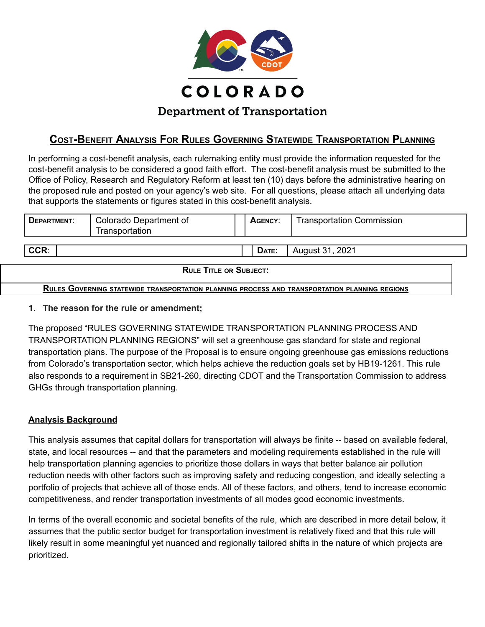

# **COST-BENEFIT ANALYSIS FOR RULES GOVERNING STATEWIDE TRANSPORTATION PLANNING**

In performing a cost-benefit analysis, each rulemaking entity must provide the information requested for the cost-benefit analysis to be considered a good faith effort. The cost-benefit analysis must be submitted to the Office of Policy, Research and Regulatory Reform at least ten (10) days before the administrative hearing on the proposed rule and posted on your agency's web site. For all questions, please attach all underlying data that supports the statements or figures stated in this cost-benefit analysis.

| <b>DEPARTMENT:</b>            | Colorado Department of<br>Transportation | AGENCY: | <b>Transportation Commission</b> |  |  |  |
|-------------------------------|------------------------------------------|---------|----------------------------------|--|--|--|
| CCR:                          |                                          | DATE:   | August 31, 2021                  |  |  |  |
| <b>RULE TITLE OR SUBJECT:</b> |                                          |         |                                  |  |  |  |

**RULES GOVERNING STATEWIDE TRANSPORTATION PLANNING PROCESS AND TRANSPORTATION PLANNING REGIONS**

#### **1. The reason for the rule or amendment;**

The proposed "RULES GOVERNING STATEWIDE TRANSPORTATION PLANNING PROCESS AND TRANSPORTATION PLANNING REGIONS" will set a greenhouse gas standard for state and regional transportation plans. The purpose of the Proposal is to ensure ongoing greenhouse gas emissions reductions from Colorado's transportation sector, which helps achieve the reduction goals set by HB19-1261. This rule also responds to a requirement in SB21-260, directing CDOT and the Transportation Commission to address GHGs through transportation planning.

#### **Analysis Background**

This analysis assumes that capital dollars for transportation will always be finite -- based on available federal, state, and local resources -- and that the parameters and modeling requirements established in the rule will help transportation planning agencies to prioritize those dollars in ways that better balance air pollution reduction needs with other factors such as improving safety and reducing congestion, and ideally selecting a portfolio of projects that achieve all of those ends. All of these factors, and others, tend to increase economic competitiveness, and render transportation investments of all modes good economic investments.

In terms of the overall economic and societal benefits of the rule, which are described in more detail below, it assumes that the public sector budget for transportation investment is relatively fixed and that this rule will likely result in some meaningful yet nuanced and regionally tailored shifts in the nature of which projects are prioritized.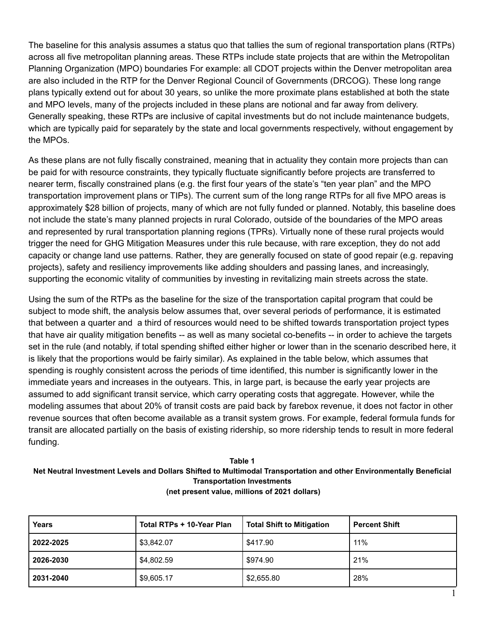The baseline for this analysis assumes a status quo that tallies the sum of regional transportation plans (RTPs) across all five metropolitan planning areas. These RTPs include state projects that are within the Metropolitan Planning Organization (MPO) boundaries For example: all CDOT projects within the Denver metropolitan area are also included in the RTP for the Denver Regional Council of Governments (DRCOG). These long range plans typically extend out for about 30 years, so unlike the more proximate plans established at both the state and MPO levels, many of the projects included in these plans are notional and far away from delivery. Generally speaking, these RTPs are inclusive of capital investments but do not include maintenance budgets, which are typically paid for separately by the state and local governments respectively, without engagement by the MPOs.

As these plans are not fully fiscally constrained, meaning that in actuality they contain more projects than can be paid for with resource constraints, they typically fluctuate significantly before projects are transferred to nearer term, fiscally constrained plans (e.g. the first four years of the state's "ten year plan" and the MPO transportation improvement plans or TIPs). The current sum of the long range RTPs for all five MPO areas is approximately \$28 billion of projects, many of which are not fully funded or planned. Notably, this baseline does not include the state's many planned projects in rural Colorado, outside of the boundaries of the MPO areas and represented by rural transportation planning regions (TPRs). Virtually none of these rural projects would trigger the need for GHG Mitigation Measures under this rule because, with rare exception, they do not add capacity or change land use patterns. Rather, they are generally focused on state of good repair (e.g. repaving projects), safety and resiliency improvements like adding shoulders and passing lanes, and increasingly, supporting the economic vitality of communities by investing in revitalizing main streets across the state.

Using the sum of the RTPs as the baseline for the size of the transportation capital program that could be subject to mode shift, the analysis below assumes that, over several periods of performance, it is estimated that between a quarter and a third of resources would need to be shifted towards transportation project types that have air quality mitigation benefits -- as well as many societal co-benefits -- in order to achieve the targets set in the rule (and notably, if total spending shifted either higher or lower than in the scenario described here, it is likely that the proportions would be fairly similar). As explained in the table below, which assumes that spending is roughly consistent across the periods of time identified, this number is significantly lower in the immediate years and increases in the outyears. This, in large part, is because the early year projects are assumed to add significant transit service, which carry operating costs that aggregate. However, while the modeling assumes that about 20% of transit costs are paid back by farebox revenue, it does not factor in other revenue sources that often become available as a transit system grows. For example, federal formula funds for transit are allocated partially on the basis of existing ridership, so more ridership tends to result in more federal funding.

#### **Table 1 Net Neutral Investment Levels and Dollars Shifted to Multimodal Transportation and other Environmentally Beneficial Transportation Investments (net present value, millions of 2021 dollars)**

| <b>Years</b> | Total RTPs + 10-Year Plan | <b>Total Shift to Mitigation</b> | <b>Percent Shift</b> |
|--------------|---------------------------|----------------------------------|----------------------|
| 2022-2025    | \$3,842.07                | \$417.90                         | 11%                  |
| 2026-2030    | \$4,802.59                | \$974.90                         | 21%                  |
| 2031-2040    | \$9,605.17                | \$2,655.80                       | 28%                  |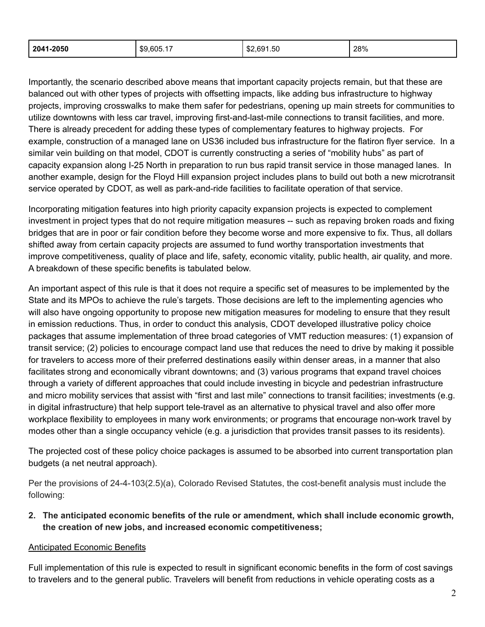| 2041-2050<br>$1$ \$9,605.1. | \$2,691.50<br>ററ | 28% |
|-----------------------------|------------------|-----|
|-----------------------------|------------------|-----|

Importantly, the scenario described above means that important capacity projects remain, but that these are balanced out with other types of projects with offsetting impacts, like adding bus infrastructure to highway projects, improving crosswalks to make them safer for pedestrians, opening up main streets for communities to utilize downtowns with less car travel, improving first-and-last-mile connections to transit facilities, and more. There is already precedent for adding these types of complementary features to highway projects. For example, construction of a managed lane on US36 included bus infrastructure for the flatiron flyer service. In a similar vein building on that model, CDOT is currently constructing a series of "mobility hubs" as part of capacity expansion along I-25 North in preparation to run bus rapid transit service in those managed lanes. In another example, design for the Floyd Hill expansion project includes plans to build out both a new microtransit service operated by CDOT, as well as park-and-ride facilities to facilitate operation of that service.

Incorporating mitigation features into high priority capacity expansion projects is expected to complement investment in project types that do not require mitigation measures -- such as repaving broken roads and fixing bridges that are in poor or fair condition before they become worse and more expensive to fix. Thus, all dollars shifted away from certain capacity projects are assumed to fund worthy transportation investments that improve competitiveness, quality of place and life, safety, economic vitality, public health, air quality, and more. A breakdown of these specific benefits is tabulated below.

An important aspect of this rule is that it does not require a specific set of measures to be implemented by the State and its MPOs to achieve the rule's targets. Those decisions are left to the implementing agencies who will also have ongoing opportunity to propose new mitigation measures for modeling to ensure that they result in emission reductions. Thus, in order to conduct this analysis, CDOT developed illustrative policy choice packages that assume implementation of three broad categories of VMT reduction measures: (1) expansion of transit service; (2) policies to encourage compact land use that reduces the need to drive by making it possible for travelers to access more of their preferred destinations easily within denser areas, in a manner that also facilitates strong and economically vibrant downtowns; and (3) various programs that expand travel choices through a variety of different approaches that could include investing in bicycle and pedestrian infrastructure and micro mobility services that assist with "first and last mile" connections to transit facilities; investments (e.g. in digital infrastructure) that help support tele-travel as an alternative to physical travel and also offer more workplace flexibility to employees in many work environments; or programs that encourage non-work travel by modes other than a single occupancy vehicle (e.g. a jurisdiction that provides transit passes to its residents).

The projected cost of these policy choice packages is assumed to be absorbed into current transportation plan budgets (a net neutral approach).

Per the provisions of 24-4-103(2.5)(a), Colorado Revised Statutes, the cost-benefit analysis must include the following:

**2. The anticipated economic benefits of the rule or amendment, which shall include economic growth, the creation of new jobs, and increased economic competitiveness;**

#### Anticipated Economic Benefits

Full implementation of this rule is expected to result in significant economic benefits in the form of cost savings to travelers and to the general public. Travelers will benefit from reductions in vehicle operating costs as a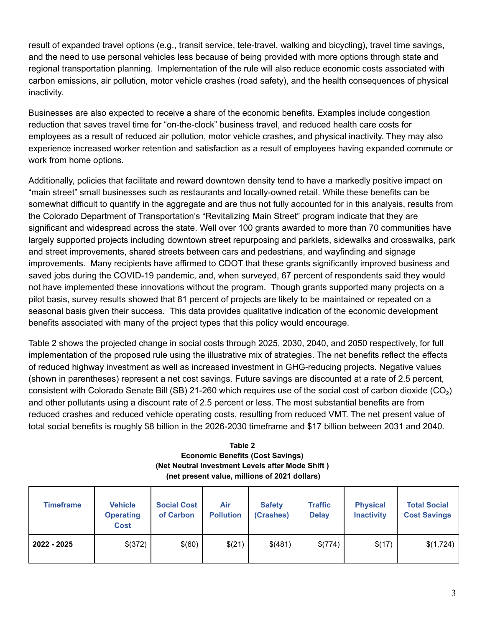result of expanded travel options (e.g., transit service, tele-travel, walking and bicycling), travel time savings, and the need to use personal vehicles less because of being provided with more options through state and regional transportation planning. Implementation of the rule will also reduce economic costs associated with carbon emissions, air pollution, motor vehicle crashes (road safety), and the health consequences of physical inactivity.

Businesses are also expected to receive a share of the economic benefits. Examples include congestion reduction that saves travel time for "on-the-clock" business travel, and reduced health care costs for employees as a result of reduced air pollution, motor vehicle crashes, and physical inactivity. They may also experience increased worker retention and satisfaction as a result of employees having expanded commute or work from home options.

Additionally, policies that facilitate and reward downtown density tend to have a markedly positive impact on "main street" small businesses such as restaurants and locally-owned retail. While these benefits can be somewhat difficult to quantify in the aggregate and are thus not fully accounted for in this analysis, results from the Colorado Department of Transportation's "Revitalizing Main Street" program indicate that they are significant and widespread across the state. Well over 100 grants awarded to more than 70 communities have largely supported projects including downtown street repurposing and parklets, sidewalks and crosswalks, park and street improvements, shared streets between cars and pedestrians, and wayfinding and signage improvements. Many recipients have affirmed to CDOT that these grants significantly improved business and saved jobs during the COVID-19 pandemic, and, when surveyed, 67 percent of respondents said they would not have implemented these innovations without the program. Though grants supported many projects on a pilot basis, survey results showed that 81 percent of projects are likely to be maintained or repeated on a seasonal basis given their success. This data provides qualitative indication of the economic development benefits associated with many of the project types that this policy would encourage.

Table 2 shows the projected change in social costs through 2025, 2030, 2040, and 2050 respectively, for full implementation of the proposed rule using the illustrative mix of strategies. The net benefits reflect the effects of reduced highway investment as well as increased investment in GHG-reducing projects. Negative values (shown in parentheses) represent a net cost savings. Future savings are discounted at a rate of 2.5 percent, consistent with Colorado Senate Bill (SB) 21-260 which requires use of the social cost of carbon dioxide (CO<sub>2</sub>) and other pollutants using a discount rate of 2.5 percent or less. The most substantial benefits are from reduced crashes and reduced vehicle operating costs, resulting from reduced VMT. The net present value of total social benefits is roughly \$8 billion in the 2026-2030 timeframe and \$17 billion between 2031 and 2040.

| Table 2                                          |
|--------------------------------------------------|
| <b>Economic Benefits (Cost Savings)</b>          |
| (Net Neutral Investment Levels after Mode Shift) |
| (net present value, millions of 2021 dollars)    |

| <b>Timeframe</b> | <b>Vehicle</b><br><b>Operating</b><br><b>Cost</b> | <b>Social Cost</b><br>of Carbon | Air<br><b>Pollution</b> | <b>Safety</b><br>(Crashes) | <b>Traffic</b><br><b>Delay</b> | <b>Physical</b><br><b>Inactivity</b> | <b>Total Social</b><br><b>Cost Savings</b> |
|------------------|---------------------------------------------------|---------------------------------|-------------------------|----------------------------|--------------------------------|--------------------------------------|--------------------------------------------|
| 2022 - 2025      | \$(372)                                           | \$(60)                          | \$(21)                  | \$(481)                    | \$(774)                        | \$(17)                               | \$(1,724)                                  |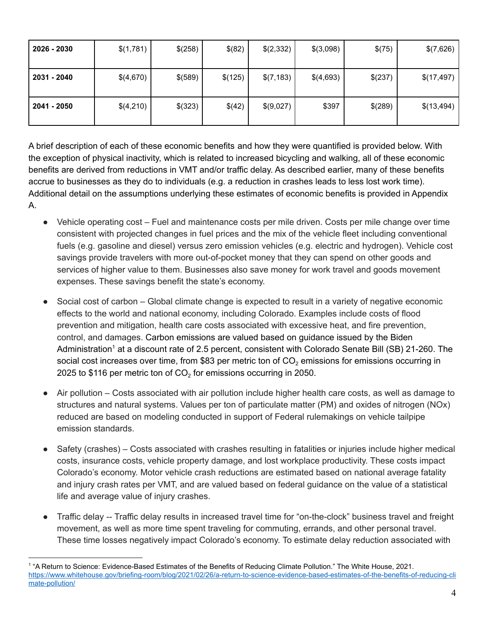| 2026 - 2030 | \$(1,781) | \$(258) | \$(82)  | \$(2,332)  | \$(3,098) | \$(75)  | \$(7,626)  |
|-------------|-----------|---------|---------|------------|-----------|---------|------------|
| 2031 - 2040 | \$(4,670) | \$(589) | \$(125) | \$(7, 183) | \$(4,693) | \$(237) | \$(17,497) |
| 2041 - 2050 | \$(4,210) | \$(323) | \$(42)  | \$(9,027)  | \$397     | \$(289) | \$(13,494) |

A brief description of each of these economic benefits and how they were quantified is provided below. With the exception of physical inactivity, which is related to increased bicycling and walking, all of these economic benefits are derived from reductions in VMT and/or traffic delay. As described earlier, many of these benefits accrue to businesses as they do to individuals (e.g. a reduction in crashes leads to less lost work time). Additional detail on the assumptions underlying these estimates of economic benefits is provided in Appendix A.

- Vehicle operating cost Fuel and maintenance costs per mile driven. Costs per mile change over time consistent with projected changes in fuel prices and the mix of the vehicle fleet including conventional fuels (e.g. gasoline and diesel) versus zero emission vehicles (e.g. electric and hydrogen). Vehicle cost savings provide travelers with more out-of-pocket money that they can spend on other goods and services of higher value to them. Businesses also save money for work travel and goods movement expenses. These savings benefit the state's economy.
- Social cost of carbon Global climate change is expected to result in a variety of negative economic effects to the world and national economy, including Colorado. Examples include costs of flood prevention and mitigation, health care costs associated with excessive heat, and fire prevention, control, and damages. Carbon emissions are valued based on guidance issued by the Biden Administration<sup>1</sup> at a discount rate of 2.5 percent, consistent with Colorado Senate Bill (SB) 21-260. The social cost increases over time, from \$83 per metric ton of  $CO<sub>2</sub>$  emissions for emissions occurring in 2025 to \$116 per metric ton of CO<sub>2</sub> for emissions occurring in 2050.
- Air pollution Costs associated with air pollution include higher health care costs, as well as damage to structures and natural systems. Values per ton of particulate matter (PM) and oxides of nitrogen (NOx) reduced are based on modeling conducted in support of Federal rulemakings on vehicle tailpipe emission standards.
- Safety (crashes) Costs associated with crashes resulting in fatalities or injuries include higher medical costs, insurance costs, vehicle property damage, and lost workplace productivity. These costs impact Colorado's economy. Motor vehicle crash reductions are estimated based on national average fatality and injury crash rates per VMT, and are valued based on federal guidance on the value of a statistical life and average value of injury crashes.
- Traffic delay -- Traffic delay results in increased travel time for "on-the-clock" business travel and freight movement, as well as more time spent traveling for commuting, errands, and other personal travel. These time losses negatively impact Colorado's economy. To estimate delay reduction associated with

<sup>&</sup>lt;sup>1</sup> "A Return to Science: Evidence-Based Estimates of the Benefits of Reducing Climate Pollution." The White House, 2021. [https://www.whitehouse.gov/briefing-room/blog/2021/02/26/a-return-to-science-evidence-based-estimates-of-the-benefits-of-reducing-cli](https://www.whitehouse.gov/briefing-room/blog/2021/02/26/a-return-to-science-evidence-based-estimates-of-the-benefits-of-reducing-climate-pollution/) [mate-pollution/](https://www.whitehouse.gov/briefing-room/blog/2021/02/26/a-return-to-science-evidence-based-estimates-of-the-benefits-of-reducing-climate-pollution/)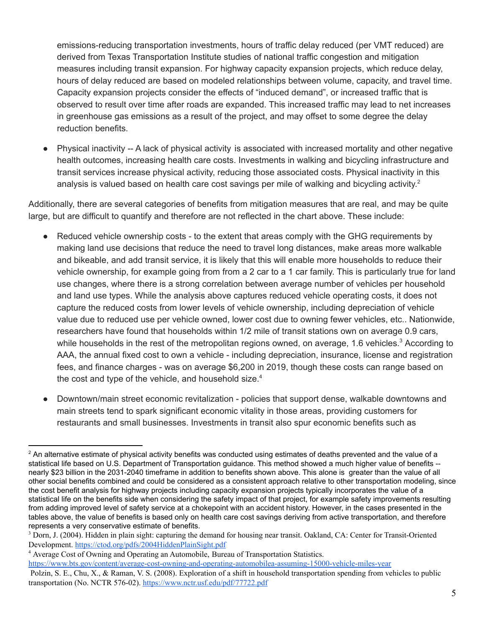emissions-reducing transportation investments, hours of traffic delay reduced (per VMT reduced) are derived from Texas Transportation Institute studies of national traffic congestion and mitigation measures including transit expansion. For highway capacity expansion projects, which reduce delay, hours of delay reduced are based on modeled relationships between volume, capacity, and travel time. Capacity expansion projects consider the effects of "induced demand", or increased traffic that is observed to result over time after roads are expanded. This increased traffic may lead to net increases in greenhouse gas emissions as a result of the project, and may offset to some degree the delay reduction benefits.

Physical inactivity -- A lack of physical activity is associated with increased mortality and other negative health outcomes, increasing health care costs. Investments in walking and bicycling infrastructure and transit services increase physical activity, reducing those associated costs. Physical inactivity in this analysis is valued based on health care cost savings per mile of walking and bicycling activity.<sup>2</sup>

Additionally, there are several categories of benefits from mitigation measures that are real, and may be quite large, but are difficult to quantify and therefore are not reflected in the chart above. These include:

- Reduced vehicle ownership costs to the extent that areas comply with the GHG requirements by making land use decisions that reduce the need to travel long distances, make areas more walkable and bikeable, and add transit service, it is likely that this will enable more households to reduce their vehicle ownership, for example going from from a 2 car to a 1 car family. This is particularly true for land use changes, where there is a strong correlation between average number of vehicles per household and land use types. While the analysis above captures reduced vehicle operating costs, it does not capture the reduced costs from lower levels of vehicle ownership, including depreciation of vehicle value due to reduced use per vehicle owned, lower cost due to owning fewer vehicles, etc.. Nationwide, researchers have found that households within 1/2 mile of transit stations own on average 0.9 cars, while households in the rest of the metropolitan regions owned, on average, 1.6 vehicles.<sup>3</sup> According to AAA, the annual fixed cost to own a vehicle - including depreciation, insurance, license and registration fees, and finance charges - was on average \$6,200 in 2019, though these costs can range based on the cost and type of the vehicle, and household size.<sup>4</sup>
- Downtown/main street economic revitalization policies that support dense, walkable downtowns and main streets tend to spark significant economic vitality in those areas, providing customers for restaurants and small businesses. Investments in transit also spur economic benefits such as

<sup>4</sup> Average Cost of Owning and Operating an Automobile, Bureau of Transportation Statistics. <https://www.bts.gov/content/average-cost-owning-and-operating-automobilea-assuming-15000-vehicle-miles-year> Polzin, S. E., Chu, X., & Raman, V. S. (2008). Exploration of a shift in household transportation spending from vehicles to public transportation (No. NCTR 576-02). <https://www.nctr.usf.edu/pdf/77722.pdf>

<sup>&</sup>lt;sup>2</sup> An alternative estimate of physical activity benefits was conducted using estimates of deaths prevented and the value of a statistical life based on U.S. Department of Transportation guidance. This method showed a much higher value of benefits - nearly \$23 billion in the 2031-2040 timeframe in addition to benefits shown above. This alone is greater than the value of all other social benefits combined and could be considered as a consistent approach relative to other transportation modeling, since the cost benefit analysis for highway projects including capacity expansion projects typically incorporates the value of a statistical life on the benefits side when considering the safety impact of that project, for example safety improvements resulting from adding improved level of safety service at a chokepoint with an accident history. However, in the cases presented in the tables above, the value of benefits is based only on health care cost savings deriving from active transportation, and therefore represents a very conservative estimate of benefits.

<sup>3</sup> Dorn, J. (2004). Hidden in plain sight: capturing the demand for housing near transit. Oakland, CA: Center for Transit-Oriented Development. <https://ctod.org/pdfs/2004HiddenPlainSight.pdf>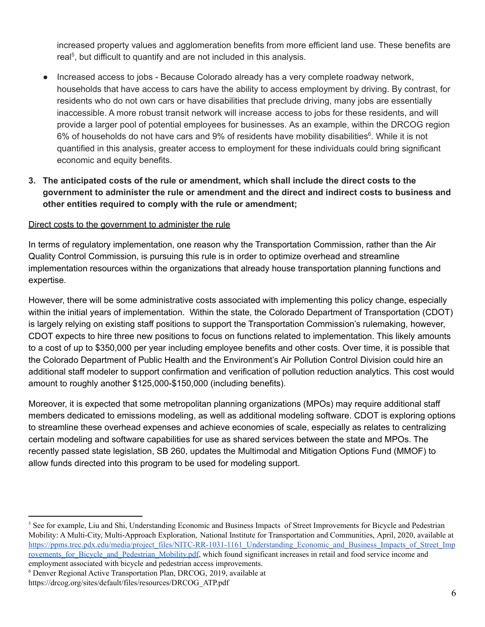increased property values and agglomeration benefits from more efficient land use. These benefits are real<sup>5</sup>, but difficult to quantify and are not included in this analysis.

- Increased access to jobs Because Colorado already has a very complete roadway network, households that have access to cars have the ability to access employment by driving. By contrast, for residents who do not own cars or have disabilities that preclude driving, many jobs are essentially inaccessible. A more robust transit network will increase access to jobs for these residents, and will provide a larger pool of potential employees for businesses. As an example, within the DRCOG region 6% of households do not have cars and 9% of residents have mobility disabilities<sup>6</sup>. While it is not quantified in this analysis, greater access to employment for these individuals could bring significant economic and equity benefits.
- **3. The anticipated costs of the rule or amendment, which shall include the direct costs to the government to administer the rule or amendment and the direct and indirect costs to business and other entities required to comply with the rule or amendment;**

#### Direct costs to the government to administer the rule

In terms of regulatory implementation, one reason why the Transportation Commission, rather than the Air Quality Control Commission, is pursuing this rule is in order to optimize overhead and streamline implementation resources within the organizations that already house transportation planning functions and expertise.

However, there will be some administrative costs associated with implementing this policy change, especially within the initial years of implementation. Within the state, the Colorado Department of Transportation (CDOT) is largely relying on existing staff positions to support the Transportation Commission's rulemaking, however, CDOT expects to hire three new positions to focus on functions related to implementation. This likely amounts to a cost of up to \$350,000 per year including employee benefits and other costs. Over time, it is possible that the Colorado Department of Public Health and the Environment's Air Pollution Control Division could hire an additional staff modeler to support confirmation and verification of pollution reduction analytics. This cost would amount to roughly another \$125,000-\$150,000 (including benefits).

Moreover, it is expected that some metropolitan planning organizations (MPOs) may require additional staff members dedicated to emissions modeling, as well as additional modeling software. CDOT is exploring options to streamline these overhead expenses and achieve economies of scale, especially as relates to centralizing certain modeling and software capabilities for use as shared services between the state and MPOs. The recently passed state legislation, SB 260, updates the Multimodal and Mitigation Options Fund (MMOF) to allow funds directed into this program to be used for modeling support.

<sup>6</sup> Denver Regional Active Transportation Plan, DRCOG, 2019, available at

<sup>&</sup>lt;sup>5</sup> See for example, Liu and Shi, Understanding Economic and Business Impacts of Street Improvements for Bicycle and Pedestrian Mobility: A Multi-City, Multi-Approach Exploration, National Institute for Transportation and Communities, April, 2020, available at [https://ppms.trec.pdx.edu/media/project\\_files/NITC-RR-1031-1161\\_Understanding\\_Economic\\_and\\_Business\\_Impacts\\_of\\_Street\\_Imp](https://ppms.trec.pdx.edu/media/project_files/NITC-RR-1031-1161_Understanding_Economic_and_Business_Impacts_of_Street_Improvements_for_Bicycle_and_Pedestrian_Mobility.pdf) rovements for Bicycle and Pedestrian Mobility.pdf, which found significant increases in retail and food service income and employment associated with bicycle and pedestrian access improvements.

https://drcog.org/sites/default/files/resources/DRCOG\_ATP.pdf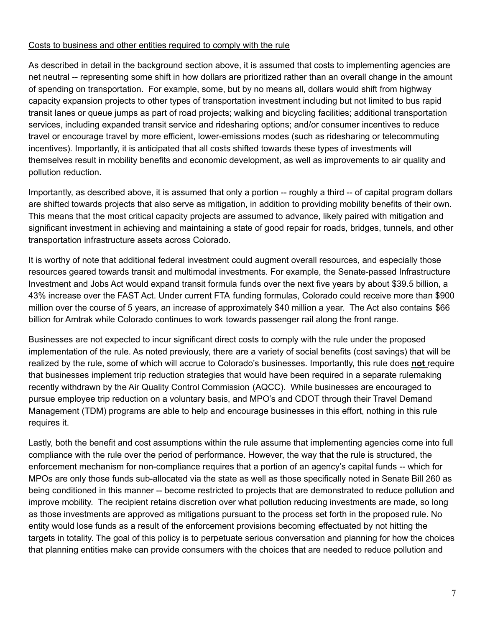#### Costs to business and other entities required to comply with the rule

As described in detail in the background section above, it is assumed that costs to implementing agencies are net neutral -- representing some shift in how dollars are prioritized rather than an overall change in the amount of spending on transportation. For example, some, but by no means all, dollars would shift from highway capacity expansion projects to other types of transportation investment including but not limited to bus rapid transit lanes or queue jumps as part of road projects; walking and bicycling facilities; additional transportation services, including expanded transit service and ridesharing options; and/or consumer incentives to reduce travel or encourage travel by more efficient, lower-emissions modes (such as ridesharing or telecommuting incentives). Importantly, it is anticipated that all costs shifted towards these types of investments will themselves result in mobility benefits and economic development, as well as improvements to air quality and pollution reduction.

Importantly, as described above, it is assumed that only a portion -- roughly a third -- of capital program dollars are shifted towards projects that also serve as mitigation, in addition to providing mobility benefits of their own. This means that the most critical capacity projects are assumed to advance, likely paired with mitigation and significant investment in achieving and maintaining a state of good repair for roads, bridges, tunnels, and other transportation infrastructure assets across Colorado.

It is worthy of note that additional federal investment could augment overall resources, and especially those resources geared towards transit and multimodal investments. For example, the Senate-passed Infrastructure Investment and Jobs Act would expand transit formula funds over the next five years by about \$39.5 billion, a 43% increase over the FAST Act. Under current FTA funding formulas, Colorado could receive more than \$900 million over the course of 5 years, an increase of approximately \$40 million a year. The Act also contains \$66 billion for Amtrak while Colorado continues to work towards passenger rail along the front range.

Businesses are not expected to incur significant direct costs to comply with the rule under the proposed implementation of the rule. As noted previously, there are a variety of social benefits (cost savings) that will be realized by the rule, some of which will accrue to Colorado's businesses. Importantly, this rule does **not** require that businesses implement trip reduction strategies that would have been required in a separate rulemaking recently withdrawn by the Air Quality Control Commission (AQCC). While businesses are encouraged to pursue employee trip reduction on a voluntary basis, and MPO's and CDOT through their Travel Demand Management (TDM) programs are able to help and encourage businesses in this effort, nothing in this rule requires it.

Lastly, both the benefit and cost assumptions within the rule assume that implementing agencies come into full compliance with the rule over the period of performance. However, the way that the rule is structured, the enforcement mechanism for non-compliance requires that a portion of an agency's capital funds -- which for MPOs are only those funds sub-allocated via the state as well as those specifically noted in Senate Bill 260 as being conditioned in this manner -- become restricted to projects that are demonstrated to reduce pollution and improve mobility. The recipient retains discretion over what pollution reducing investments are made, so long as those investments are approved as mitigations pursuant to the process set forth in the proposed rule. No entity would lose funds as a result of the enforcement provisions becoming effectuated by not hitting the targets in totality. The goal of this policy is to perpetuate serious conversation and planning for how the choices that planning entities make can provide consumers with the choices that are needed to reduce pollution and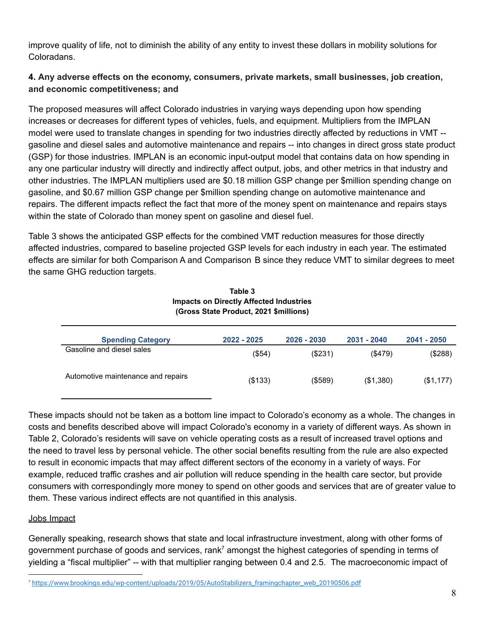improve quality of life, not to diminish the ability of any entity to invest these dollars in mobility solutions for Coloradans.

## **4. Any adverse effects on the economy, consumers, private markets, small businesses, job creation, and economic competitiveness; and**

The proposed measures will affect Colorado industries in varying ways depending upon how spending increases or decreases for different types of vehicles, fuels, and equipment. Multipliers from the IMPLAN model were used to translate changes in spending for two industries directly affected by reductions in VMT - gasoline and diesel sales and automotive maintenance and repairs -- into changes in direct gross state product (GSP) for those industries. IMPLAN is an economic input-output model that contains data on how spending in any one particular industry will directly and indirectly affect output, jobs, and other metrics in that industry and other industries. The IMPLAN multipliers used are \$0.18 million GSP change per \$million spending change on gasoline, and \$0.67 million GSP change per \$million spending change on automotive maintenance and repairs. The different impacts reflect the fact that more of the money spent on maintenance and repairs stays within the state of Colorado than money spent on gasoline and diesel fuel.

Table 3 shows the anticipated GSP effects for the combined VMT reduction measures for those directly affected industries, compared to baseline projected GSP levels for each industry in each year. The estimated effects are similar for both Comparison A and Comparison B since they reduce VMT to similar degrees to meet the same GHG reduction targets.

| (Gross State Product, 2021 \$millions) |             |             |               |             |  |  |  |
|----------------------------------------|-------------|-------------|---------------|-------------|--|--|--|
| <b>Spending Category</b>               | 2022 - 2025 | 2026 - 2030 | 2031 - 2040   | 2041 - 2050 |  |  |  |
| Gasoline and diesel sales              | (\$54)      | (\$231)     | $($ \$479 $)$ | (\$288)     |  |  |  |
| Automotive maintenance and repairs     | (\$133)     | (\$589)     | (\$1,380)     | (\$1,177)   |  |  |  |

#### **Table 3 Impacts on Directly Affected Industries (Gross State Product, 2021 \$millions)**

These impacts should not be taken as a bottom line impact to Colorado's economy as a whole. The changes in costs and benefits described above will impact Colorado's economy in a variety of different ways. As shown in Table 2, Colorado's residents will save on vehicle operating costs as a result of increased travel options and the need to travel less by personal vehicle. The other social benefits resulting from the rule are also expected to result in economic impacts that may affect different sectors of the economy in a variety of ways. For example, reduced traffic crashes and air pollution will reduce spending in the health care sector, but provide consumers with correspondingly more money to spend on other goods and services that are of greater value to them. These various indirect effects are not quantified in this analysis.

#### Jobs Impact

Generally speaking, research shows that state and local infrastructure investment, along with other forms of government purchase of goods and services, rank<sup>7</sup> amongst the highest categories of spending in terms of yielding a "fiscal multiplier" -- with that multiplier ranging between 0.4 and 2.5. The macroeconomic impact of

<sup>7</sup> [https://www.brookings.edu/wp-content/uploads/2019/05/AutoStabilizers\\_framingchapter\\_web\\_20190506.pdf](https://www.brookings.edu/wp-content/uploads/2019/05/AutoStabilizers_framingchapter_web_20190506.pdf)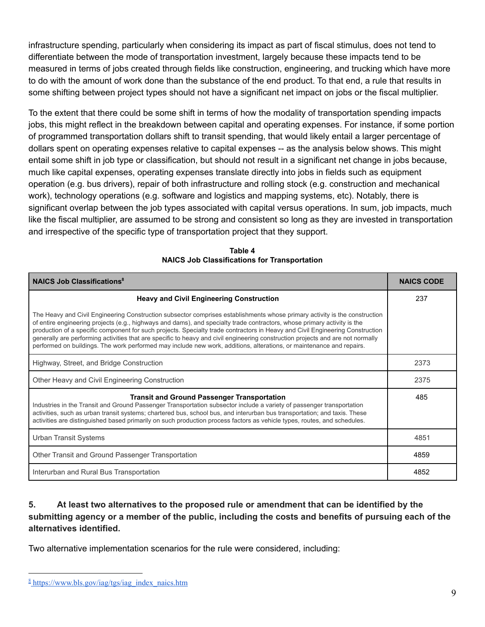infrastructure spending, particularly when considering its impact as part of fiscal stimulus, does not tend to differentiate between the mode of transportation investment, largely because these impacts tend to be measured in terms of jobs created through fields like construction, engineering, and trucking which have more to do with the amount of work done than the substance of the end product. To that end, a rule that results in some shifting between project types should not have a significant net impact on jobs or the fiscal multiplier.

To the extent that there could be some shift in terms of how the modality of transportation spending impacts jobs, this might reflect in the breakdown between capital and operating expenses. For instance, if some portion of programmed transportation dollars shift to transit spending, that would likely entail a larger percentage of dollars spent on operating expenses relative to capital expenses -- as the analysis below shows. This might entail some shift in job type or classification, but should not result in a significant net change in jobs because, much like capital expenses, operating expenses translate directly into jobs in fields such as equipment operation (e.g. bus drivers), repair of both infrastructure and rolling stock (e.g. construction and mechanical work), technology operations (e.g. software and logistics and mapping systems, etc). Notably, there is significant overlap between the job types associated with capital versus operations. In sum, job impacts, much like the fiscal multiplier, are assumed to be strong and consistent so long as they are invested in transportation and irrespective of the specific type of transportation project that they support.

| <b>NAICS Job Classifications<sup>8</sup></b>                                                                                                                                                                                                                                                                                                                                                                                                                                                                                                                                                                                                       | <b>NAICS CODE</b> |
|----------------------------------------------------------------------------------------------------------------------------------------------------------------------------------------------------------------------------------------------------------------------------------------------------------------------------------------------------------------------------------------------------------------------------------------------------------------------------------------------------------------------------------------------------------------------------------------------------------------------------------------------------|-------------------|
| <b>Heavy and Civil Engineering Construction</b>                                                                                                                                                                                                                                                                                                                                                                                                                                                                                                                                                                                                    | 237               |
| The Heavy and Civil Engineering Construction subsector comprises establishments whose primary activity is the construction<br>of entire engineering projects (e.g., highways and dams), and specialty trade contractors, whose primary activity is the<br>production of a specific component for such projects. Specialty trade contractors in Heavy and Civil Engineering Construction<br>generally are performing activities that are specific to heavy and civil engineering construction projects and are not normally<br>performed on buildings. The work performed may include new work, additions, alterations, or maintenance and repairs. |                   |
| Highway, Street, and Bridge Construction                                                                                                                                                                                                                                                                                                                                                                                                                                                                                                                                                                                                           | 2373              |
| Other Heavy and Civil Engineering Construction                                                                                                                                                                                                                                                                                                                                                                                                                                                                                                                                                                                                     | 2375              |
| <b>Transit and Ground Passenger Transportation</b><br>Industries in the Transit and Ground Passenger Transportation subsector include a variety of passenger transportation<br>activities, such as urban transit systems; chartered bus, school bus, and interurban bus transportation; and taxis. These<br>activities are distinguished based primarily on such production process factors as vehicle types, routes, and schedules.                                                                                                                                                                                                               | 485               |
| Urban Transit Systems                                                                                                                                                                                                                                                                                                                                                                                                                                                                                                                                                                                                                              | 4851              |
| Other Transit and Ground Passenger Transportation                                                                                                                                                                                                                                                                                                                                                                                                                                                                                                                                                                                                  | 4859              |
| Interurban and Rural Bus Transportation                                                                                                                                                                                                                                                                                                                                                                                                                                                                                                                                                                                                            | 4852              |

**Table 4 NAICS Job Classifications for Transportation**

# **5. At least two alternatives to the proposed rule or amendment that can be identified by the** submitting agency or a member of the public, including the costs and benefits of pursuing each of the **alternatives identified.**

Two alternative implementation scenarios for the rule were considered, including:

 $\frac{8 \text{ https://www.bls.gov/iag/tgs/iag}indexnaics.htm}{8}$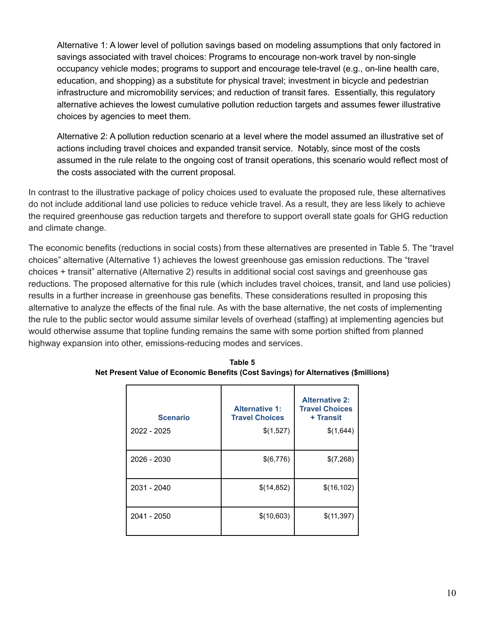Alternative 1: A lower level of pollution savings based on modeling assumptions that only factored in savings associated with travel choices: Programs to encourage non-work travel by non-single occupancy vehicle modes; programs to support and encourage tele-travel (e.g., on-line health care, education, and shopping) as a substitute for physical travel; investment in bicycle and pedestrian infrastructure and micromobility services; and reduction of transit fares. Essentially, this regulatory alternative achieves the lowest cumulative pollution reduction targets and assumes fewer illustrative choices by agencies to meet them.

Alternative 2: A pollution reduction scenario at a level where the model assumed an illustrative set of actions including travel choices and expanded transit service. Notably, since most of the costs assumed in the rule relate to the ongoing cost of transit operations, this scenario would reflect most of the costs associated with the current proposal.

In contrast to the illustrative package of policy choices used to evaluate the proposed rule, these alternatives do not include additional land use policies to reduce vehicle travel. As a result, they are less likely to achieve the required greenhouse gas reduction targets and therefore to support overall state goals for GHG reduction and climate change.

The economic benefits (reductions in social costs) from these alternatives are presented in Table 5. The "travel choices" alternative (Alternative 1) achieves the lowest greenhouse gas emission reductions. The "travel choices + transit" alternative (Alternative 2) results in additional social cost savings and greenhouse gas reductions. The proposed alternative for this rule (which includes travel choices, transit, and land use policies) results in a further increase in greenhouse gas benefits. These considerations resulted in proposing this alternative to analyze the effects of the final rule. As with the base alternative, the net costs of implementing the rule to the public sector would assume similar levels of overhead (staffing) at implementing agencies but would otherwise assume that topline funding remains the same with some portion shifted from planned highway expansion into other, emissions-reducing modes and services.

| <b>Scenario</b><br>2022 - 2025 | <b>Alternative 1:</b><br><b>Travel Choices</b><br>\$(1,527) | <b>Alternative 2:</b><br><b>Travel Choices</b><br>+ Transit<br>\$(1,644) |
|--------------------------------|-------------------------------------------------------------|--------------------------------------------------------------------------|
| 2026 - 2030                    | \$(6,776)                                                   | \$(7,268)                                                                |
| 2031 - 2040                    | \$(14,852)                                                  | \$(16, 102)                                                              |
| 2041 - 2050                    | \$(10,603)                                                  | \$(11,397)                                                               |

**Table 5 Net Present Value of Economic Benefits (Cost Savings) for Alternatives (\$millions)**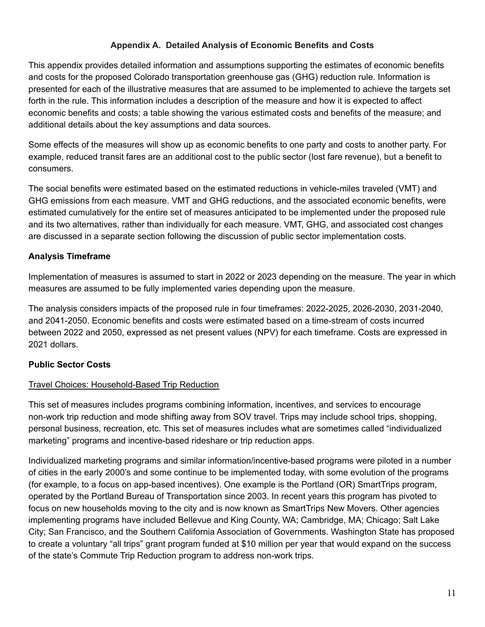## **Appendix A. Detailed Analysis of Economic Benefits and Costs**

This appendix provides detailed information and assumptions supporting the estimates of economic benefits and costs for the proposed Colorado transportation greenhouse gas (GHG) reduction rule. Information is presented for each of the illustrative measures that are assumed to be implemented to achieve the targets set forth in the rule. This information includes a description of the measure and how it is expected to affect economic benefits and costs; a table showing the various estimated costs and benefits of the measure; and additional details about the key assumptions and data sources.

Some effects of the measures will show up as economic benefits to one party and costs to another party. For example, reduced transit fares are an additional cost to the public sector (lost fare revenue), but a benefit to consumers.

The social benefits were estimated based on the estimated reductions in vehicle-miles traveled (VMT) and GHG emissions from each measure. VMT and GHG reductions, and the associated economic benefits, were estimated cumulatively for the entire set of measures anticipated to be implemented under the proposed rule and its two alternatives, rather than individually for each measure. VMT, GHG, and associated cost changes are discussed in a separate section following the discussion of public sector implementation costs.

## **Analysis Timeframe**

Implementation of measures is assumed to start in 2022 or 2023 depending on the measure. The year in which measures are assumed to be fully implemented varies depending upon the measure.

The analysis considers impacts of the proposed rule in four timeframes: 2022-2025, 2026-2030, 2031-2040, and 2041-2050. Economic benefits and costs were estimated based on a time-stream of costs incurred between 2022 and 2050, expressed as net present values (NPV) for each timeframe. Costs are expressed in 2021 dollars.

#### **Public Sector Costs**

#### Travel Choices: Household-Based Trip Reduction

This set of measures includes programs combining information, incentives, and services to encourage non-work trip reduction and mode shifting away from SOV travel. Trips may include school trips, shopping, personal business, recreation, etc. This set of measures includes what are sometimes called "individualized marketing" programs and incentive-based rideshare or trip reduction apps.

Individualized marketing programs and similar information/incentive-based programs were piloted in a number of cities in the early 2000's and some continue to be implemented today, with some evolution of the programs (for example, to a focus on app-based incentives). One example is the Portland (OR) SmartTrips program, operated by the Portland Bureau of Transportation since 2003. In recent years this program has pivoted to focus on new households moving to the city and is now known as SmartTrips New Movers. Other agencies implementing programs have included Bellevue and King County, WA; Cambridge, MA; Chicago; Salt Lake City; San Francisco, and the Southern California Association of Governments. Washington State has proposed to create a voluntary "all trips" grant program funded at \$10 million per year that would expand on the success of the state's Commute Trip Reduction program to address non-work trips.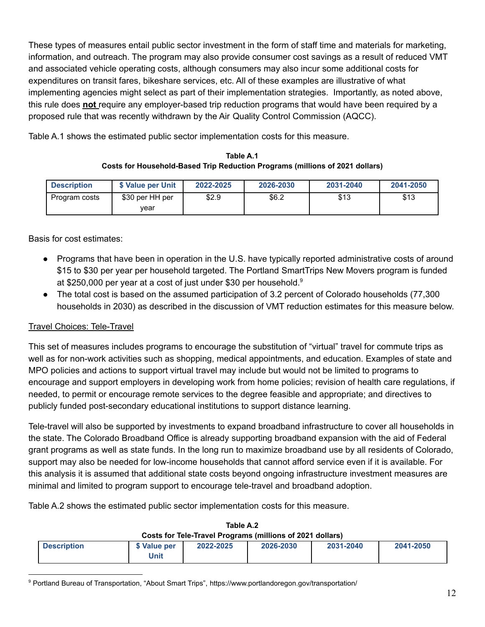These types of measures entail public sector investment in the form of staff time and materials for marketing, information, and outreach. The program may also provide consumer cost savings as a result of reduced VMT and associated vehicle operating costs, although consumers may also incur some additional costs for expenditures on transit fares, bikeshare services, etc. All of these examples are illustrative of what implementing agencies might select as part of their implementation strategies. Importantly, as noted above, this rule does **not** require any employer-based trip reduction programs that would have been required by a proposed rule that was recently withdrawn by the Air Quality Control Commission (AQCC).

Table A.1 shows the estimated public sector implementation costs for this measure.

**Table A.1 Costs for Household-Based Trip Reduction Programs (millions of 2021 dollars)**

| <b>Description</b> | \$ Value per Unit | 2022-2025 | 2026-2030 | 2031-2040 | 2041-2050 |
|--------------------|-------------------|-----------|-----------|-----------|-----------|
| Program costs      | \$30 per HH per   | \$2.9     | \$6.2     | \$13      | \$13      |
|                    | vear              |           |           |           |           |

Basis for cost estimates:

- Programs that have been in operation in the U.S. have typically reported administrative costs of around \$15 to \$30 per year per household targeted. The Portland SmartTrips New Movers program is funded at \$250,000 per year at a cost of just under \$30 per household. 9
- The total cost is based on the assumed participation of 3.2 percent of Colorado households (77,300) households in 2030) as described in the discussion of VMT reduction estimates for this measure below.

# Travel Choices: Tele-Travel

This set of measures includes programs to encourage the substitution of "virtual" travel for commute trips as well as for non-work activities such as shopping, medical appointments, and education. Examples of state and MPO policies and actions to support virtual travel may include but would not be limited to programs to encourage and support employers in developing work from home policies; revision of health care regulations, if needed, to permit or encourage remote services to the degree feasible and appropriate; and directives to publicly funded post-secondary educational institutions to support distance learning.

Tele-travel will also be supported by investments to expand broadband infrastructure to cover all households in the state. The Colorado Broadband Office is already supporting broadband expansion with the aid of Federal grant programs as well as state funds. In the long run to maximize broadband use by all residents of Colorado, support may also be needed for low-income households that cannot afford service even if it is available. For this analysis it is assumed that additional state costs beyond ongoing infrastructure investment measures are minimal and limited to program support to encourage tele-travel and broadband adoption.

Table A.2 shows the estimated public sector implementation costs for this measure.

| Costs for Tele-Travel Programs (millions of 2021 dollars) |                      |           |           |           |           |  |
|-----------------------------------------------------------|----------------------|-----------|-----------|-----------|-----------|--|
| <b>Description</b>                                        | \$ Value per<br>Unit | 2022-2025 | 2026-2030 | 2031-2040 | 2041-2050 |  |

# **Table A.2**

<sup>9</sup> Portland Bureau of Transportation, "About Smart Trips", https://www.portlandoregon.gov/transportation/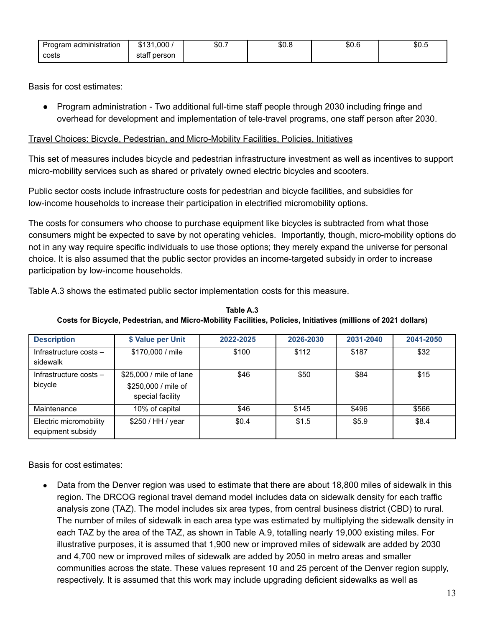| $\sim$<br>Program administration | $$131.000$ ,    | \$0.7 | \$0.8 | \$0.6 | \$0.ს |
|----------------------------------|-----------------|-------|-------|-------|-------|
| costs                            | person<br>staff |       |       |       |       |

Basis for cost estimates:

● Program administration - Two additional full-time staff people through 2030 including fringe and overhead for development and implementation of tele-travel programs, one staff person after 2030.

## Travel Choices: Bicycle, Pedestrian, and Micro-Mobility Facilities, Policies, Initiatives

This set of measures includes bicycle and pedestrian infrastructure investment as well as incentives to support micro-mobility services such as shared or privately owned electric bicycles and scooters.

Public sector costs include infrastructure costs for pedestrian and bicycle facilities, and subsidies for low-income households to increase their participation in electrified micromobility options.

The costs for consumers who choose to purchase equipment like bicycles is subtracted from what those consumers might be expected to save by not operating vehicles. Importantly, though, micro-mobility options do not in any way require specific individuals to use those options; they merely expand the universe for personal choice. It is also assumed that the public sector provides an income-targeted subsidy in order to increase participation by low-income households.

Table A.3 shows the estimated public sector implementation costs for this measure.

| <b>Description</b>                          | \$ Value per Unit                                                  | 2022-2025 | 2026-2030 | 2031-2040 | 2041-2050 |
|---------------------------------------------|--------------------------------------------------------------------|-----------|-----------|-----------|-----------|
| Infrastructure costs $-$<br>sidewalk        | \$170,000 / mile                                                   | \$100     | \$112     | \$187     | \$32      |
| Infrastructure costs $-$<br>bicycle         | \$25,000 / mile of lane<br>\$250,000 / mile of<br>special facility | \$46      | \$50      | \$84      | \$15      |
| Maintenance                                 | 10% of capital                                                     | \$46      | \$145     | \$496     | \$566     |
| Electric micromobility<br>equipment subsidy | \$250 / HH / year                                                  | \$0.4     | \$1.5     | \$5.9     | \$8.4     |

**Table A.3 Costs for Bicycle, Pedestrian, and Micro-Mobility Facilities, Policies, Initiatives (millions of 2021 dollars)**

Basis for cost estimates:

Data from the Denver region was used to estimate that there are about 18,800 miles of sidewalk in this region. The DRCOG regional travel demand model includes data on sidewalk density for each traffic analysis zone (TAZ). The model includes six area types, from central business district (CBD) to rural. The number of miles of sidewalk in each area type was estimated by multiplying the sidewalk density in each TAZ by the area of the TAZ, as shown in Table A.9, totalling nearly 19,000 existing miles. For illustrative purposes, it is assumed that 1,900 new or improved miles of sidewalk are added by 2030 and 4,700 new or improved miles of sidewalk are added by 2050 in metro areas and smaller communities across the state. These values represent 10 and 25 percent of the Denver region supply, respectively. It is assumed that this work may include upgrading deficient sidewalks as well as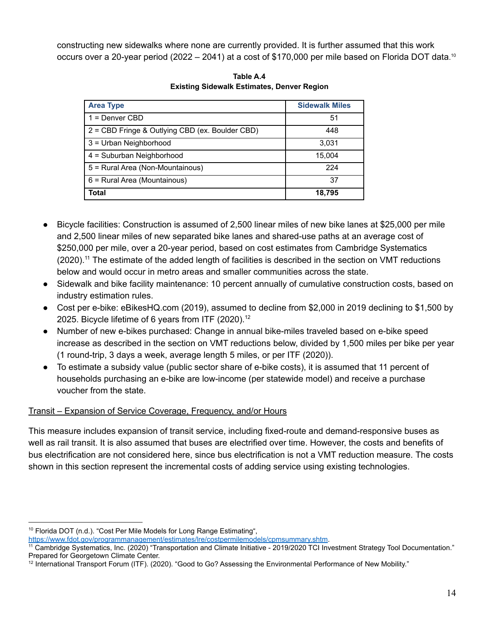constructing new sidewalks where none are currently provided. It is further assumed that this work occurs over a 20-year period (2022 – 2041) at a cost of \$170,000 per mile based on Florida DOT data.<sup>10</sup>

| <b>Area Type</b>                                | <b>Sidewalk Miles</b> |
|-------------------------------------------------|-----------------------|
| 1 = Denver CBD                                  | 51                    |
| 2 = CBD Fringe & Outlying CBD (ex. Boulder CBD) | 448                   |
| 3 = Urban Neighborhood                          | 3,031                 |
| 4 = Suburban Neighborhood                       | 15,004                |
| 5 = Rural Area (Non-Mountainous)                | 224                   |
| 6 = Rural Area (Mountainous)                    | 37                    |
| Total                                           | 18,795                |

**Table A.4 Existing Sidewalk Estimates, Denver Region**

- Bicycle facilities: Construction is assumed of 2,500 linear miles of new bike lanes at \$25,000 per mile and 2,500 linear miles of new separated bike lanes and shared-use paths at an average cost of \$250,000 per mile, over a 20-year period, based on cost estimates from Cambridge Systematics  $(2020).<sup>11</sup>$  The estimate of the added length of facilities is described in the section on VMT reductions below and would occur in metro areas and smaller communities across the state.
- Sidewalk and bike facility maintenance: 10 percent annually of cumulative construction costs, based on industry estimation rules.
- Cost per e-bike: eBikesHQ.com (2019), assumed to decline from \$2,000 in 2019 declining to \$1,500 by 2025. Bicycle lifetime of 6 years from ITF  $(2020)^{12}$
- Number of new e-bikes purchased: Change in annual bike-miles traveled based on e-bike speed increase as described in the section on VMT reductions below, divided by 1,500 miles per bike per year (1 round-trip, 3 days a week, average length 5 miles, or per ITF (2020)).
- To estimate a subsidy value (public sector share of e-bike costs), it is assumed that 11 percent of households purchasing an e-bike are low-income (per statewide model) and receive a purchase voucher from the state.

# Transit – Expansion of Service Coverage, Frequency, and/or Hours

This measure includes expansion of transit service, including fixed-route and demand-responsive buses as well as rail transit. It is also assumed that buses are electrified over time. However, the costs and benefits of bus electrification are not considered here, since bus electrification is not a VMT reduction measure. The costs shown in this section represent the incremental costs of adding service using existing technologies.

<sup>&</sup>lt;sup>10</sup> Florida DOT (n.d.). "Cost Per Mile Models for Long Range Estimating",

[https://www.fdot.gov/programmanagement/estimates/lre/costpermilemodels/cpmsummary.shtm.](https://www.fdot.gov/programmanagement/estimates/lre/costpermilemodels/cpmsummary.shtm)

<sup>11</sup> Cambridge Systematics, Inc. (2020) "Transportation and Climate Initiative - 2019/2020 TCI Investment Strategy Tool Documentation." Prepared for Georgetown Climate Center.

<sup>&</sup>lt;sup>12</sup> International Transport Forum (ITF). (2020). "Good to Go? Assessing the Environmental Performance of New Mobility."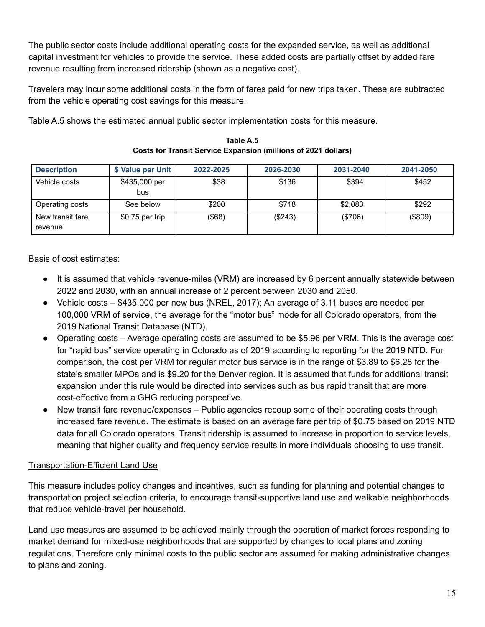The public sector costs include additional operating costs for the expanded service, as well as additional capital investment for vehicles to provide the service. These added costs are partially offset by added fare revenue resulting from increased ridership (shown as a negative cost).

Travelers may incur some additional costs in the form of fares paid for new trips taken. These are subtracted from the vehicle operating cost savings for this measure.

Table A.5 shows the estimated annual public sector implementation costs for this measure.

| <b>Description</b>          | \$ Value per Unit    | 2022-2025 | 2026-2030 | 2031-2040 | 2041-2050 |
|-----------------------------|----------------------|-----------|-----------|-----------|-----------|
| Vehicle costs               | \$435,000 per<br>bus | \$38      | \$136     | \$394     | \$452     |
| Operating costs             | See below            | \$200     | \$718     | \$2,083   | \$292     |
| New transit fare<br>revenue | $$0.75$ per trip     | $($ \$68) | (\$243)   | (\$706)   | (\$809)   |

**Table A.5 Costs for Transit Service Expansion (millions of 2021 dollars)**

Basis of cost estimates:

- It is assumed that vehicle revenue-miles (VRM) are increased by 6 percent annually statewide between 2022 and 2030, with an annual increase of 2 percent between 2030 and 2050.
- Vehicle costs \$435,000 per new bus (NREL, 2017); An average of 3.11 buses are needed per 100,000 VRM of service, the average for the "motor bus" mode for all Colorado operators, from the 2019 National Transit Database (NTD).
- Operating costs Average operating costs are assumed to be \$5.96 per VRM. This is the average cost for "rapid bus" service operating in Colorado as of 2019 according to reporting for the 2019 NTD. For comparison, the cost per VRM for regular motor bus service is in the range of \$3.89 to \$6.28 for the state's smaller MPOs and is \$9.20 for the Denver region. It is assumed that funds for additional transit expansion under this rule would be directed into services such as bus rapid transit that are more cost-effective from a GHG reducing perspective.
- New transit fare revenue/expenses Public agencies recoup some of their operating costs through increased fare revenue. The estimate is based on an average fare per trip of \$0.75 based on 2019 NTD data for all Colorado operators. Transit ridership is assumed to increase in proportion to service levels, meaning that higher quality and frequency service results in more individuals choosing to use transit.

# Transportation-Efficient Land Use

This measure includes policy changes and incentives, such as funding for planning and potential changes to transportation project selection criteria, to encourage transit-supportive land use and walkable neighborhoods that reduce vehicle-travel per household.

Land use measures are assumed to be achieved mainly through the operation of market forces responding to market demand for mixed-use neighborhoods that are supported by changes to local plans and zoning regulations. Therefore only minimal costs to the public sector are assumed for making administrative changes to plans and zoning.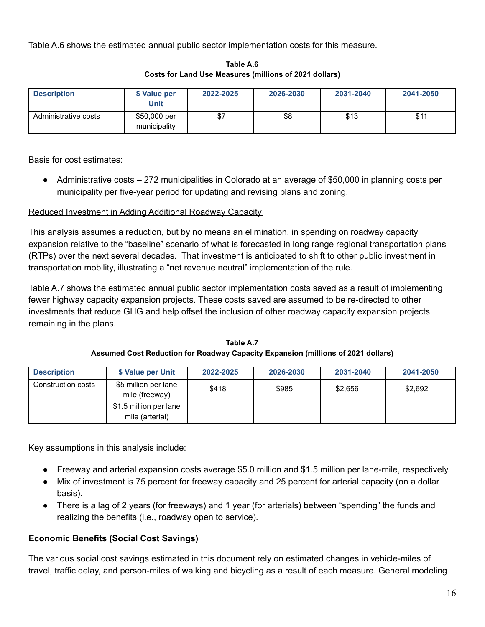Table A.6 shows the estimated annual public sector implementation costs for this measure.

| <b>Description</b>   | \$ Value per<br>Unit         | 2022-2025 | 2026-2030 | 2031-2040 | 2041-2050 |
|----------------------|------------------------------|-----------|-----------|-----------|-----------|
| Administrative costs | \$50,000 per<br>municipality | \$7       | \$8       | \$13      | \$11      |

**Table A.6 Costs for Land Use Measures (millions of 2021 dollars)**

Basis for cost estimates:

● Administrative costs – 272 municipalities in Colorado at an average of \$50,000 in planning costs per municipality per five-year period for updating and revising plans and zoning.

# Reduced Investment in Adding Additional Roadway Capacity

This analysis assumes a reduction, but by no means an elimination, in spending on roadway capacity expansion relative to the "baseline" scenario of what is forecasted in long range regional transportation plans (RTPs) over the next several decades. That investment is anticipated to shift to other public investment in transportation mobility, illustrating a "net revenue neutral" implementation of the rule.

Table A.7 shows the estimated annual public sector implementation costs saved as a result of implementing fewer highway capacity expansion projects. These costs saved are assumed to be re-directed to other investments that reduce GHG and help offset the inclusion of other roadway capacity expansion projects remaining in the plans.

**Table A.7 Assumed Cost Reduction for Roadway Capacity Expansion (millions of 2021 dollars)**

| <b>Description</b> | \$ Value per Unit                         | 2022-2025 | 2026-2030 | 2031-2040 | 2041-2050 |
|--------------------|-------------------------------------------|-----------|-----------|-----------|-----------|
| Construction costs | \$5 million per lane<br>mile (freeway)    | \$418     | \$985     | \$2,656   | \$2,692   |
|                    | \$1.5 million per lane<br>mile (arterial) |           |           |           |           |

Key assumptions in this analysis include:

- Freeway and arterial expansion costs average \$5.0 million and \$1.5 million per lane-mile, respectively.
- Mix of investment is 75 percent for freeway capacity and 25 percent for arterial capacity (on a dollar basis).
- There is a lag of 2 years (for freeways) and 1 year (for arterials) between "spending" the funds and realizing the benefits (i.e., roadway open to service).

# **Economic Benefits (Social Cost Savings)**

The various social cost savings estimated in this document rely on estimated changes in vehicle-miles of travel, traffic delay, and person-miles of walking and bicycling as a result of each measure. General modeling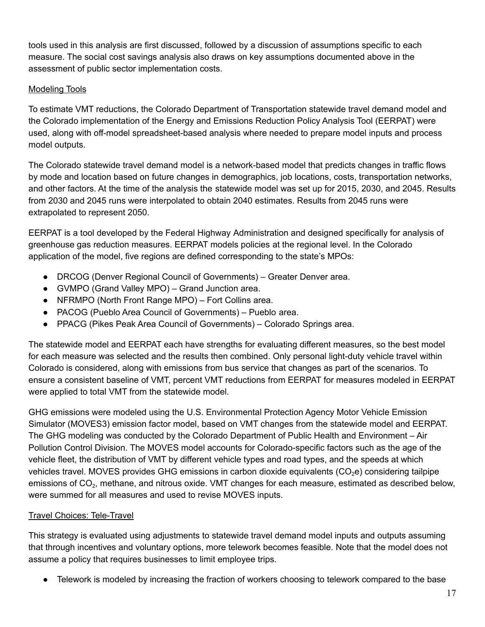tools used in this analysis are first discussed, followed by a discussion of assumptions specific to each measure. The social cost savings analysis also draws on key assumptions documented above in the assessment of public sector implementation costs.

# Modeling Tools

To estimate VMT reductions, the Colorado Department of Transportation statewide travel demand model and the Colorado implementation of the Energy and Emissions Reduction Policy Analysis Tool (EERPAT) were used, along with off-model spreadsheet-based analysis where needed to prepare model inputs and process model outputs.

The Colorado statewide travel demand model is a network-based model that predicts changes in traffic flows by mode and location based on future changes in demographics, job locations, costs, transportation networks, and other factors. At the time of the analysis the statewide model was set up for 2015, 2030, and 2045. Results from 2030 and 2045 runs were interpolated to obtain 2040 estimates. Results from 2045 runs were extrapolated to represent 2050.

EERPAT is a tool developed by the Federal Highway Administration and designed specifically for analysis of greenhouse gas reduction measures. EERPAT models policies at the regional level. In the Colorado application of the model, five regions are defined corresponding to the state's MPOs:

- DRCOG (Denver Regional Council of Governments) Greater Denver area.
- GVMPO (Grand Valley MPO) Grand Junction area.
- NFRMPO (North Front Range MPO) Fort Collins area.
- PACOG (Pueblo Area Council of Governments) Pueblo area.
- PPACG (Pikes Peak Area Council of Governments) Colorado Springs area.

The statewide model and EERPAT each have strengths for evaluating different measures, so the best model for each measure was selected and the results then combined. Only personal light-duty vehicle travel within Colorado is considered, along with emissions from bus service that changes as part of the scenarios. To ensure a consistent baseline of VMT, percent VMT reductions from EERPAT for measures modeled in EERPAT were applied to total VMT from the statewide model.

GHG emissions were modeled using the U.S. Environmental Protection Agency Motor Vehicle Emission Simulator (MOVES3) emission factor model, based on VMT changes from the statewide model and EERPAT. The GHG modeling was conducted by the Colorado Department of Public Health and Environment – Air Pollution Control Division. The MOVES model accounts for Colorado-specific factors such as the age of the vehicle fleet, the distribution of VMT by different vehicle types and road types, and the speeds at which vehicles travel. MOVES provides GHG emissions in carbon dioxide equivalents  $(CO<sub>2</sub>e)$  considering tailpipe emissions of CO<sub>2</sub>, methane, and nitrous oxide. VMT changes for each measure, estimated as described below, were summed for all measures and used to revise MOVES inputs.

# Travel Choices: Tele-Travel

This strategy is evaluated using adjustments to statewide travel demand model inputs and outputs assuming that through incentives and voluntary options, more telework becomes feasible. Note that the model does not assume a policy that requires businesses to limit employee trips.

Telework is modeled by increasing the fraction of workers choosing to telework compared to the base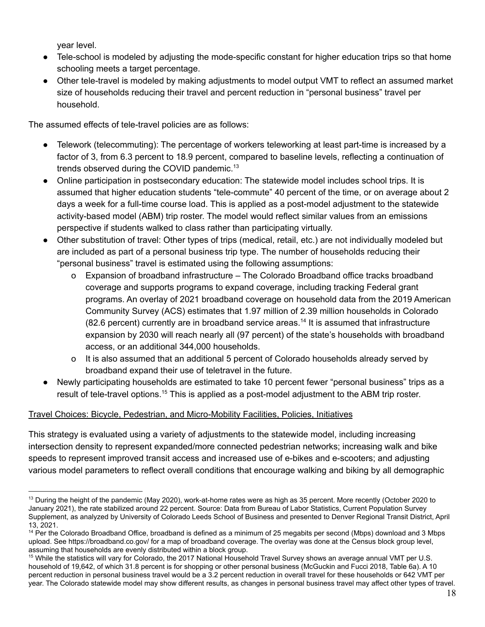year level.

- Tele-school is modeled by adjusting the mode-specific constant for higher education trips so that home schooling meets a target percentage.
- Other tele-travel is modeled by making adjustments to model output VMT to reflect an assumed market size of households reducing their travel and percent reduction in "personal business" travel per household.

The assumed effects of tele-travel policies are as follows:

- Telework (telecommuting): The percentage of workers teleworking at least part-time is increased by a factor of 3, from 6.3 percent to 18.9 percent, compared to baseline levels, reflecting a continuation of trends observed during the COVID pandemic.<sup>13</sup>
- Online participation in postsecondary education: The statewide model includes school trips. It is assumed that higher education students "tele-commute" 40 percent of the time, or on average about 2 days a week for a full-time course load. This is applied as a post-model adjustment to the statewide activity-based model (ABM) trip roster. The model would reflect similar values from an emissions perspective if students walked to class rather than participating virtually.
- Other substitution of travel: Other types of trips (medical, retail, etc.) are not individually modeled but are included as part of a personal business trip type. The number of households reducing their "personal business" travel is estimated using the following assumptions:
	- o Expansion of broadband infrastructure The Colorado Broadband office tracks broadband coverage and supports programs to expand coverage, including tracking Federal grant programs. An overlay of 2021 broadband coverage on household data from the 2019 American Community Survey (ACS) estimates that 1.97 million of 2.39 million households in Colorado  $(82.6$  percent) currently are in broadband service areas.<sup>14</sup> It is assumed that infrastructure expansion by 2030 will reach nearly all (97 percent) of the state's households with broadband access, or an additional 344,000 households.
	- o It is also assumed that an additional 5 percent of Colorado households already served by broadband expand their use of teletravel in the future.
- Newly participating households are estimated to take 10 percent fewer "personal business" trips as a result of tele-travel options.<sup>15</sup> This is applied as a post-model adjustment to the ABM trip roster.

# Travel Choices: Bicycle, Pedestrian, and Micro-Mobility Facilities, Policies, Initiatives

This strategy is evaluated using a variety of adjustments to the statewide model, including increasing intersection density to represent expanded/more connected pedestrian networks; increasing walk and bike speeds to represent improved transit access and increased use of e-bikes and e-scooters; and adjusting various model parameters to reflect overall conditions that encourage walking and biking by all demographic

<sup>&</sup>lt;sup>13</sup> During the height of the pandemic (May 2020), work-at-home rates were as high as 35 percent. More recently (October 2020 to January 2021), the rate stabilized around 22 percent. Source: Data from Bureau of Labor Statistics, Current Population Survey Supplement, as analyzed by University of Colorado Leeds School of Business and presented to Denver Regional Transit District, April 13, 2021.

<sup>&</sup>lt;sup>14</sup> Per the Colorado Broadband Office, broadband is defined as a minimum of 25 megabits per second (Mbps) download and 3 Mbps upload. See https://broadband.co.gov/ for a map of broadband coverage. The overlay was done at the Census block group level, assuming that households are evenly distributed within a block group.

<sup>&</sup>lt;sup>15</sup> While the statistics will vary for Colorado, the 2017 National Household Travel Survey shows an average annual VMT per U.S. household of 19,642, of which 31.8 percent is for shopping or other personal business (McGuckin and Fucci 2018, Table 6a). A 10 percent reduction in personal business travel would be a 3.2 percent reduction in overall travel for these households or 642 VMT per year. The Colorado statewide model may show different results, as changes in personal business travel may affect other types of travel.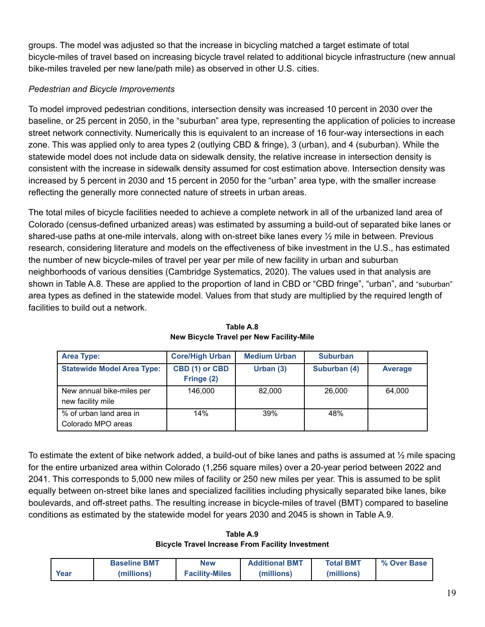groups. The model was adjusted so that the increase in bicycling matched a target estimate of total bicycle-miles of travel based on increasing bicycle travel related to additional bicycle infrastructure (new annual bike-miles traveled per new lane/path mile) as observed in other U.S. cities.

# *Pedestrian and Bicycle Improvements*

To model improved pedestrian conditions, intersection density was increased 10 percent in 2030 over the baseline, or 25 percent in 2050, in the "suburban" area type, representing the application of policies to increase street network connectivity. Numerically this is equivalent to an increase of 16 four-way intersections in each zone. This was applied only to area types 2 (outlying CBD & fringe), 3 (urban), and 4 (suburban). While the statewide model does not include data on sidewalk density, the relative increase in intersection density is consistent with the increase in sidewalk density assumed for cost estimation above. Intersection density was increased by 5 percent in 2030 and 15 percent in 2050 for the "urban" area type, with the smaller increase reflecting the generally more connected nature of streets in urban areas.

The total miles of bicycle facilities needed to achieve a complete network in all of the urbanized land area of Colorado (census-defined urbanized areas) was estimated by assuming a build-out of separated bike lanes or shared-use paths at one-mile intervals, along with on-street bike lanes every ½ mile in between. Previous research, considering literature and models on the effectiveness of bike investment in the U.S., has estimated the number of new bicycle-miles of travel per year per mile of new facility in urban and suburban neighborhoods of various densities (Cambridge Systematics, 2020). The values used in that analysis are shown in Table A.8. These are applied to the proportion of land in CBD or "CBD fringe", "urban", and "suburban" area types as defined in the statewide model. Values from that study are multiplied by the required length of facilities to build out a network.

| <b>Area Type:</b>                              | <b>Core/High Urban</b>       | <b>Medium Urban</b> | <b>Suburban</b> |         |
|------------------------------------------------|------------------------------|---------------------|-----------------|---------|
| <b>Statewide Model Area Type:</b>              | CBD (1) or CBD<br>Fringe (2) | Urban $(3)$         | Suburban (4)    | Average |
| New annual bike-miles per<br>new facility mile | 146.000                      | 82,000              | 26,000          | 64.000  |
| % of urban land area in<br>Colorado MPO areas  | 14%                          | 39%                 | 48%             |         |

**Table A.8 New Bicycle Travel per New Facility-Mile**

To estimate the extent of bike network added, a build-out of bike lanes and paths is assumed at ½ mile spacing for the entire urbanized area within Colorado (1,256 square miles) over a 20-year period between 2022 and 2041. This corresponds to 5,000 new miles of facility or 250 new miles per year. This is assumed to be split equally between on-street bike lanes and specialized facilities including physically separated bike lanes, bike boulevards, and off-street paths. The resulting increase in bicycle-miles of travel (BMT) compared to baseline conditions as estimated by the statewide model for years 2030 and 2045 is shown in Table A.9.

**Table A.9 Bicycle Travel Increase From Facility Investment**

|      | <b>Baseline BMT</b> | <b>New</b>            | <b>Additional BMT</b> | <b>Total BMT</b> | % Over Base |
|------|---------------------|-----------------------|-----------------------|------------------|-------------|
| Year | (millions)          | <b>Facility-Miles</b> | (millions)            | (millions)       |             |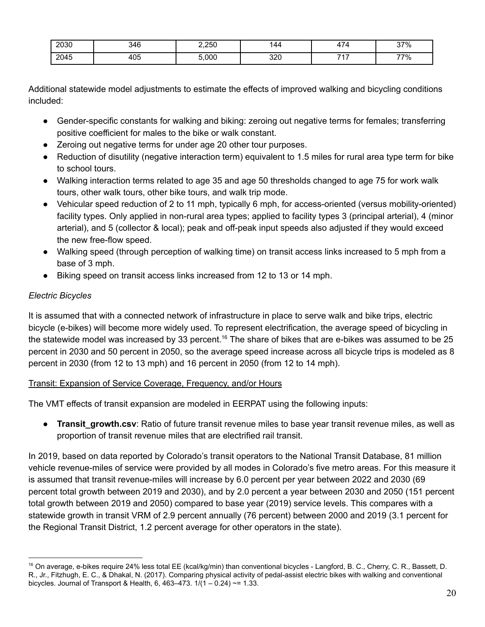| 2030 | 346 | 2,250 | '44        | $\overline{\phantom{a}}$ | 37% |
|------|-----|-------|------------|--------------------------|-----|
| 2045 | 405 | 0.000 | חרכ<br>⊍∡ບ | ラィラ<br>.                 | 77% |

Additional statewide model adjustments to estimate the effects of improved walking and bicycling conditions included:

- Gender-specific constants for walking and biking: zeroing out negative terms for females; transferring positive coefficient for males to the bike or walk constant.
- Zeroing out negative terms for under age 20 other tour purposes.
- Reduction of disutility (negative interaction term) equivalent to 1.5 miles for rural area type term for bike to school tours.
- Walking interaction terms related to age 35 and age 50 thresholds changed to age 75 for work walk tours, other walk tours, other bike tours, and walk trip mode.
- Vehicular speed reduction of 2 to 11 mph, typically 6 mph, for access-oriented (versus mobility-oriented) facility types. Only applied in non-rural area types; applied to facility types 3 (principal arterial), 4 (minor arterial), and 5 (collector & local); peak and off-peak input speeds also adjusted if they would exceed the new free-flow speed.
- Walking speed (through perception of walking time) on transit access links increased to 5 mph from a base of 3 mph.
- Biking speed on transit access links increased from 12 to 13 or 14 mph.

# *Electric Bicycles*

It is assumed that with a connected network of infrastructure in place to serve walk and bike trips, electric bicycle (e-bikes) will become more widely used. To represent electrification, the average speed of bicycling in the statewide model was increased by 33 percent.<sup>16</sup> The share of bikes that are e-bikes was assumed to be 25 percent in 2030 and 50 percent in 2050, so the average speed increase across all bicycle trips is modeled as 8 percent in 2030 (from 12 to 13 mph) and 16 percent in 2050 (from 12 to 14 mph).

# Transit: Expansion of Service Coverage, Frequency, and/or Hours

The VMT effects of transit expansion are modeled in EERPAT using the following inputs:

**• Transit growth.csv**: Ratio of future transit revenue miles to base year transit revenue miles, as well as proportion of transit revenue miles that are electrified rail transit.

In 2019, based on data reported by Colorado's transit operators to the National Transit Database, 81 million vehicle revenue-miles of service were provided by all modes in Colorado's five metro areas. For this measure it is assumed that transit revenue-miles will increase by 6.0 percent per year between 2022 and 2030 (69 percent total growth between 2019 and 2030), and by 2.0 percent a year between 2030 and 2050 (151 percent total growth between 2019 and 2050) compared to base year (2019) service levels. This compares with a statewide growth in transit VRM of 2.9 percent annually (76 percent) between 2000 and 2019 (3.1 percent for the Regional Transit District, 1.2 percent average for other operators in the state).

<sup>&</sup>lt;sup>16</sup> On average, e-bikes require 24% less total EE (kcal/kg/min) than conventional bicycles - Langford, B. C., Cherry, C. R., Bassett, D. R., Jr., Fitzhugh, E. C., & Dhakal, N. (2017). Comparing physical activity of pedal-assist electric bikes with walking and conventional bicycles. Journal of Transport & Health, 6, 463-473.  $1/(1 - 0.24) \approx 1.33$ .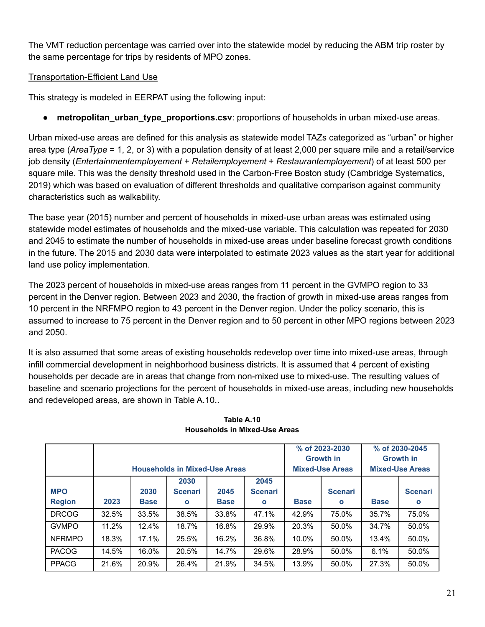The VMT reduction percentage was carried over into the statewide model by reducing the ABM trip roster by the same percentage for trips by residents of MPO zones.

## Transportation-Efficient Land Use

This strategy is modeled in EERPAT using the following input:

metropolitan\_urban\_type\_proportions.csv: proportions of households in urban mixed-use areas.

Urban mixed-use areas are defined for this analysis as statewide model TAZs categorized as "urban" or higher area type (*AreaType* = 1, 2, or 3) with a population density of at least 2,000 per square mile and a retail/service job density (*Entertainmentemployement* + *Retailemployement* + *Restaurantemployement*) of at least 500 per square mile. This was the density threshold used in the Carbon-Free Boston study (Cambridge Systematics, 2019) which was based on evaluation of different thresholds and qualitative comparison against community characteristics such as walkability.

The base year (2015) number and percent of households in mixed-use urban areas was estimated using statewide model estimates of households and the mixed-use variable. This calculation was repeated for 2030 and 2045 to estimate the number of households in mixed-use areas under baseline forecast growth conditions in the future. The 2015 and 2030 data were interpolated to estimate 2023 values as the start year for additional land use policy implementation.

The 2023 percent of households in mixed-use areas ranges from 11 percent in the GVMPO region to 33 percent in the Denver region. Between 2023 and 2030, the fraction of growth in mixed-use areas ranges from 10 percent in the NRFMPO region to 43 percent in the Denver region. Under the policy scenario, this is assumed to increase to 75 percent in the Denver region and to 50 percent in other MPO regions between 2023 and 2050.

It is also assumed that some areas of existing households redevelop over time into mixed-use areas, through infill commercial development in neighborhood business districts. It is assumed that 4 percent of existing households per decade are in areas that change from non-mixed use to mixed-use. The resulting values of baseline and scenario projections for the percent of households in mixed-use areas, including new households and redeveloped areas, are shown in Table A.10..

|               |       |             |                                      |             |                |             | % of 2023-2030         |             | % of 2030-2045         |  |
|---------------|-------|-------------|--------------------------------------|-------------|----------------|-------------|------------------------|-------------|------------------------|--|
|               |       |             |                                      |             |                |             | <b>Growth in</b>       |             | <b>Growth in</b>       |  |
|               |       |             |                                      |             |                |             |                        |             |                        |  |
|               |       |             | <b>Households in Mixed-Use Areas</b> |             |                |             | <b>Mixed-Use Areas</b> |             | <b>Mixed-Use Areas</b> |  |
|               |       |             | 2030                                 |             | 2045           |             |                        |             |                        |  |
| <b>MPO</b>    |       | 2030        | <b>Scenari</b>                       | 2045        | <b>Scenari</b> |             | <b>Scenari</b>         |             | <b>Scenari</b>         |  |
| <b>Region</b> | 2023  | <b>Base</b> | $\mathbf{o}$                         | <b>Base</b> | $\mathbf{o}$   | <b>Base</b> | $\mathbf{o}$           | <b>Base</b> | $\mathbf{o}$           |  |
| <b>DRCOG</b>  | 32.5% | 33.5%       | 38.5%                                | 33.8%       | 47.1%          | 42.9%       | 75.0%                  | 35.7%       | 75.0%                  |  |
| <b>GVMPO</b>  | 11.2% | 12.4%       | 18.7%                                | 16.8%       | 29.9%          | 20.3%       | 50.0%                  | 34.7%       | 50.0%                  |  |
| <b>NFRMPO</b> | 18.3% | 17.1%       | 25.5%                                | 16.2%       | 36.8%          | 10.0%       | 50.0%                  | 13.4%       | 50.0%                  |  |
| <b>PACOG</b>  | 14.5% | 16.0%       | 20.5%                                | 14.7%       | 29.6%          | 28.9%       | 50.0%                  | 6.1%        | 50.0%                  |  |
| <b>PPACG</b>  | 21.6% | 20.9%       | 26.4%                                | 21.9%       | 34.5%          | 13.9%       | 50.0%                  | 27.3%       | 50.0%                  |  |

#### **Table A.10 Households in Mixed-Use Areas**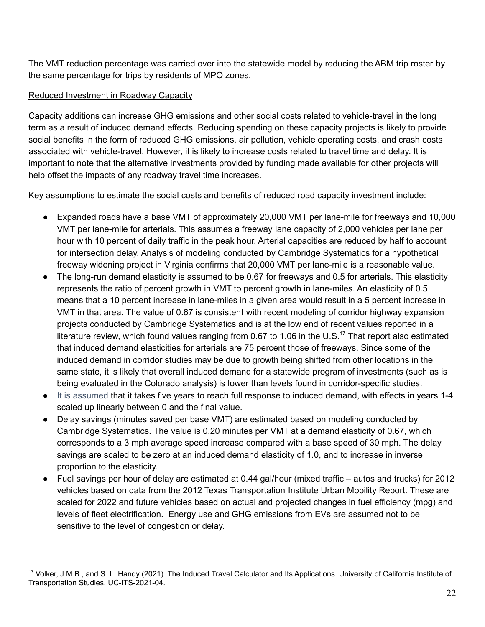The VMT reduction percentage was carried over into the statewide model by reducing the ABM trip roster by the same percentage for trips by residents of MPO zones.

## Reduced Investment in Roadway Capacity

Capacity additions can increase GHG emissions and other social costs related to vehicle-travel in the long term as a result of induced demand effects. Reducing spending on these capacity projects is likely to provide social benefits in the form of reduced GHG emissions, air pollution, vehicle operating costs, and crash costs associated with vehicle-travel. However, it is likely to increase costs related to travel time and delay. It is important to note that the alternative investments provided by funding made available for other projects will help offset the impacts of any roadway travel time increases.

Key assumptions to estimate the social costs and benefits of reduced road capacity investment include:

- Expanded roads have a base VMT of approximately 20,000 VMT per lane-mile for freeways and 10,000 VMT per lane-mile for arterials. This assumes a freeway lane capacity of 2,000 vehicles per lane per hour with 10 percent of daily traffic in the peak hour. Arterial capacities are reduced by half to account for intersection delay. Analysis of modeling conducted by Cambridge Systematics for a hypothetical freeway widening project in Virginia confirms that 20,000 VMT per lane-mile is a reasonable value.
- The long-run demand elasticity is assumed to be 0.67 for freeways and 0.5 for arterials. This elasticity represents the ratio of percent growth in VMT to percent growth in lane-miles. An elasticity of 0.5 means that a 10 percent increase in lane-miles in a given area would result in a 5 percent increase in VMT in that area. The value of 0.67 is consistent with recent modeling of corridor highway expansion projects conducted by Cambridge Systematics and is at the low end of recent values reported in a literature review, which found values ranging from 0.67 to 1.06 in the U.S.<sup>17</sup> That report also estimated that induced demand elasticities for arterials are 75 percent those of freeways. Since some of the induced demand in corridor studies may be due to growth being shifted from other locations in the same state, it is likely that overall induced demand for a statewide program of investments (such as is being evaluated in the Colorado analysis) is lower than levels found in corridor-specific studies.
- It is assumed that it takes five years to reach full response to induced demand, with effects in years 1-4 scaled up linearly between 0 and the final value.
- Delay savings (minutes saved per base VMT) are estimated based on modeling conducted by Cambridge Systematics. The value is 0.20 minutes per VMT at a demand elasticity of 0.67, which corresponds to a 3 mph average speed increase compared with a base speed of 30 mph. The delay savings are scaled to be zero at an induced demand elasticity of 1.0, and to increase in inverse proportion to the elasticity.
- Fuel savings per hour of delay are estimated at 0.44 gal/hour (mixed traffic autos and trucks) for 2012 vehicles based on data from the 2012 Texas Transportation Institute Urban Mobility Report. These are scaled for 2022 and future vehicles based on actual and projected changes in fuel efficiency (mpg) and levels of fleet electrification. Energy use and GHG emissions from EVs are assumed not to be sensitive to the level of congestion or delay.

<sup>&</sup>lt;sup>17</sup> Volker, J.M.B., and S. L. Handy (2021). The Induced Travel Calculator and Its Applications. University of California Institute of Transportation Studies, UC-ITS-2021-04.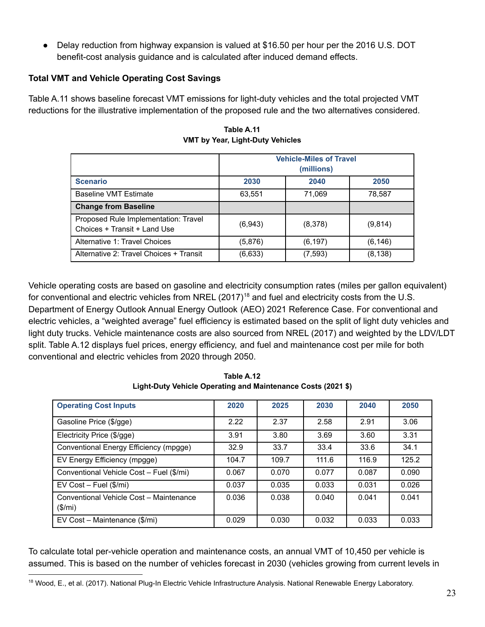• Delay reduction from highway expansion is valued at \$16.50 per hour per the 2016 U.S. DOT benefit-cost analysis guidance and is calculated after induced demand effects.

## **Total VMT and Vehicle Operating Cost Savings**

Table A.11 shows baseline forecast VMT emissions for light-duty vehicles and the total projected VMT reductions for the illustrative implementation of the proposed rule and the two alternatives considered.

|                                                                      | <b>Vehicle-Miles of Travel</b><br>(millions) |          |          |  |  |  |  |
|----------------------------------------------------------------------|----------------------------------------------|----------|----------|--|--|--|--|
| <b>Scenario</b>                                                      | 2030                                         | 2040     | 2050     |  |  |  |  |
| <b>Baseline VMT Estimate</b>                                         | 63.551                                       | 71,069   | 78.587   |  |  |  |  |
| <b>Change from Baseline</b>                                          |                                              |          |          |  |  |  |  |
| Proposed Rule Implementation: Travel<br>Choices + Transit + Land Use | (6,943)                                      | (8,378)  | (9,814)  |  |  |  |  |
| Alternative 1: Travel Choices                                        | (5,876)                                      | (6, 197) | (6, 146) |  |  |  |  |
| Alternative 2: Travel Choices + Transit                              | (6,633)                                      | (7, 593) | (8, 138) |  |  |  |  |

**Table A.11 VMT by Year, Light-Duty Vehicles**

Vehicle operating costs are based on gasoline and electricity consumption rates (miles per gallon equivalent) for conventional and electric vehicles from NREL  $(2017)^{18}$  and fuel and electricity costs from the U.S. Department of Energy Outlook Annual Energy Outlook (AEO) 2021 Reference Case. For conventional and electric vehicles, a "weighted average" fuel efficiency is estimated based on the split of light duty vehicles and light duty trucks. Vehicle maintenance costs are also sourced from NREL (2017) and weighted by the LDV/LDT split. Table A.12 displays fuel prices, energy efficiency, and fuel and maintenance cost per mile for both conventional and electric vehicles from 2020 through 2050.

| <b>Operating Cost Inputs</b>                       | 2020  | 2025  | 2030  | 2040  | 2050  |
|----------------------------------------------------|-------|-------|-------|-------|-------|
| Gasoline Price (\$/gge)                            | 2.22  | 2.37  | 2.58  | 2.91  | 3.06  |
| Electricity Price (\$/gge)                         | 3.91  | 3.80  | 3.69  | 3.60  | 3.31  |
| Conventional Energy Efficiency (mpgge)             | 32.9  | 33.7  | 33.4  | 33.6  | 34.1  |
| EV Energy Efficiency (mpgge)                       | 104.7 | 109.7 | 111.6 | 116.9 | 125.2 |
| Conventional Vehicle Cost - Fuel (\$/mi)           | 0.067 | 0.070 | 0.077 | 0.087 | 0.090 |
| $EV Cost - Fuel$ (\$/mi)                           | 0.037 | 0.035 | 0.033 | 0.031 | 0.026 |
| Conventional Vehicle Cost - Maintenance<br>(\$/mi) | 0.036 | 0.038 | 0.040 | 0.041 | 0.041 |
| EV Cost - Maintenance (\$/mi)                      | 0.029 | 0.030 | 0.032 | 0.033 | 0.033 |

**Table A.12 Light-Duty Vehicle Operating and Maintenance Costs (2021 \$)**

To calculate total per-vehicle operation and maintenance costs, an annual VMT of 10,450 per vehicle is assumed. This is based on the number of vehicles forecast in 2030 (vehicles growing from current levels in

<sup>18</sup> Wood, E., et al. (2017). National Plug-In Electric Vehicle Infrastructure Analysis. National Renewable Energy Laboratory.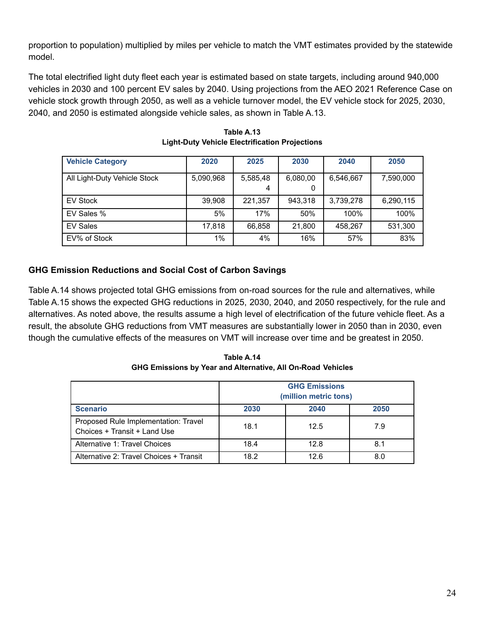proportion to population) multiplied by miles per vehicle to match the VMT estimates provided by the statewide model.

The total electrified light duty fleet each year is estimated based on state targets, including around 940,000 vehicles in 2030 and 100 percent EV sales by 2040. Using projections from the AEO 2021 Reference Case on vehicle stock growth through 2050, as well as a vehicle turnover model, the EV vehicle stock for 2025, 2030, 2040, and 2050 is estimated alongside vehicle sales, as shown in Table A.13.

| <b>Vehicle Category</b>      | 2020      | 2025          | 2030          | 2040      | 2050      |
|------------------------------|-----------|---------------|---------------|-----------|-----------|
| All Light-Duty Vehicle Stock | 5,090,968 | 5,585,48<br>4 | 6,080,00<br>O | 6,546,667 | 7,590,000 |
| <b>EV Stock</b>              | 39,908    | 221,357       | 943.318       | 3,739,278 | 6,290,115 |
| EV Sales %                   | 5%        | 17%           | 50%           | 100%      | 100%      |
| <b>EV Sales</b>              | 17,818    | 66,858        | 21,800        | 458.267   | 531,300   |
| EV% of Stock                 | 1%        | 4%            | 16%           | 57%       | 83%       |

**Table A.13 Light-Duty Vehicle Electrification Projections**

# **GHG Emission Reductions and Social Cost of Carbon Savings**

Table A.14 shows projected total GHG emissions from on-road sources for the rule and alternatives, while Table A.15 shows the expected GHG reductions in 2025, 2030, 2040, and 2050 respectively, for the rule and alternatives. As noted above, the results assume a high level of electrification of the future vehicle fleet. As a result, the absolute GHG reductions from VMT measures are substantially lower in 2050 than in 2030, even though the cumulative effects of the measures on VMT will increase over time and be greatest in 2050.

**Table A.14 GHG Emissions by Year and Alternative, All On-Road Vehicles**

|                                                                      | <b>GHG Emissions</b><br>(million metric tons) |      |      |
|----------------------------------------------------------------------|-----------------------------------------------|------|------|
| <b>Scenario</b>                                                      | 2030                                          | 2040 | 2050 |
| Proposed Rule Implementation: Travel<br>Choices + Transit + Land Use | 18.1                                          | 12.5 | 7.9  |
| Alternative 1: Travel Choices                                        | 18.4                                          | 12.8 | 8.1  |
| Alternative 2: Travel Choices + Transit                              | 18.2                                          | 12.6 | 8.0  |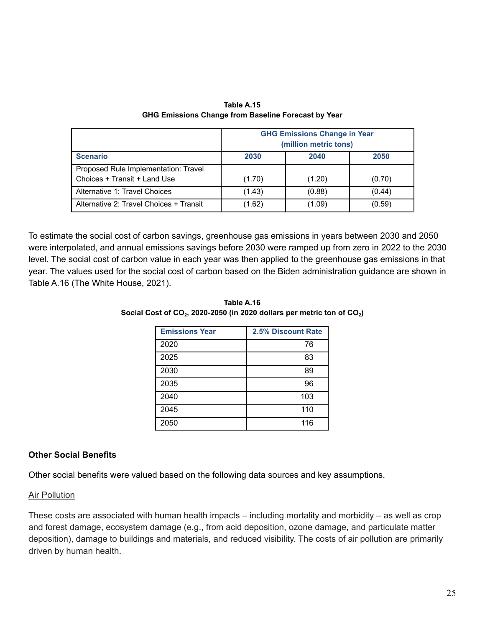|                                                                      | <b>GHG Emissions Change in Year</b><br>(million metric tons) |        |        |
|----------------------------------------------------------------------|--------------------------------------------------------------|--------|--------|
| <b>Scenario</b>                                                      | 2030                                                         | 2040   | 2050   |
| Proposed Rule Implementation: Travel<br>Choices + Transit + Land Use | (1.70)                                                       | (1.20) | (0.70) |
| Alternative 1: Travel Choices                                        | (1.43)                                                       | (0.88) | (0.44) |
| Alternative 2: Travel Choices + Transit                              | (1.62)                                                       | (1.09) | (0.59) |

**Table A.15 GHG Emissions Change from Baseline Forecast by Year**

To estimate the social cost of carbon savings, greenhouse gas emissions in years between 2030 and 2050 were interpolated, and annual emissions savings before 2030 were ramped up from zero in 2022 to the 2030 level. The social cost of carbon value in each year was then applied to the greenhouse gas emissions in that year. The values used for the social cost of carbon based on the Biden administration guidance are shown in Table A.16 (The White House, 2021).

| <b>Emissions Year</b> | 2.5% Discount Rate |
|-----------------------|--------------------|
| 2020                  | 76                 |
| 2025                  | 83                 |
| 2030                  | 89                 |
| 2035                  | 96                 |
| 2040                  | 103                |
| 2045                  | 110                |
| 2050                  | 116                |

**Table A.16 Social Cost of CO<sup>2</sup> , 2020-2050 (in 2020 dollars per metric ton of CO<sup>2</sup> )**

#### **Other Social Benefits**

Other social benefits were valued based on the following data sources and key assumptions.

#### Air Pollution

These costs are associated with human health impacts – including mortality and morbidity – as well as crop and forest damage, ecosystem damage (e.g., from acid deposition, ozone damage, and particulate matter deposition), damage to buildings and materials, and reduced visibility. The costs of air pollution are primarily driven by human health.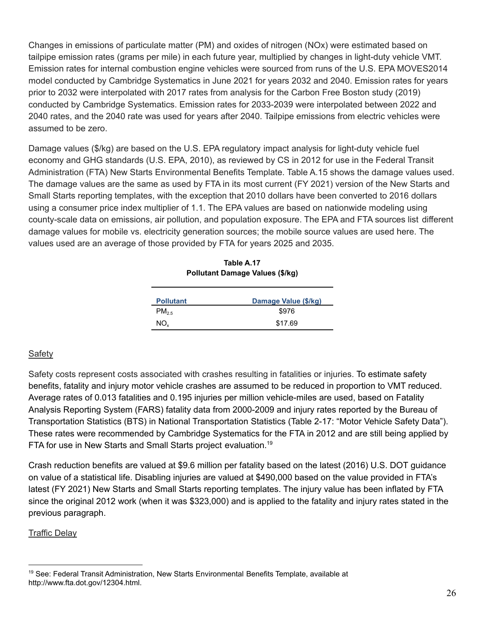Changes in emissions of particulate matter (PM) and oxides of nitrogen (NOx) were estimated based on tailpipe emission rates (grams per mile) in each future year, multiplied by changes in light-duty vehicle VMT. Emission rates for internal combustion engine vehicles were sourced from runs of the U.S. EPA MOVES2014 model conducted by Cambridge Systematics in June 2021 for years 2032 and 2040. Emission rates for years prior to 2032 were interpolated with 2017 rates from analysis for the Carbon Free Boston study (2019) conducted by Cambridge Systematics. Emission rates for 2033-2039 were interpolated between 2022 and 2040 rates, and the 2040 rate was used for years after 2040. Tailpipe emissions from electric vehicles were assumed to be zero.

Damage values (\$/kg) are based on the U.S. EPA regulatory impact analysis for light-duty vehicle fuel economy and GHG standards (U.S. EPA, 2010), as reviewed by CS in 2012 for use in the Federal Transit Administration (FTA) New Starts Environmental Benefits Template. Table A.15 shows the damage values used. The damage values are the same as used by FTA in its most current (FY 2021) version of the New Starts and Small Starts reporting templates, with the exception that 2010 dollars have been converted to 2016 dollars using a consumer price index multiplier of 1.1. The EPA values are based on nationwide modeling using county-scale data on emissions, air pollution, and population exposure. The EPA and FTA sources list different damage values for mobile vs. electricity generation sources; the mobile source values are used here. The values used are an average of those provided by FTA for years 2025 and 2035.

| Table A.17                      |  |  |
|---------------------------------|--|--|
| Pollutant Damage Values (\$/kg) |  |  |

| <b>Pollutant</b> | Damage Value (\$/kg) |
|------------------|----------------------|
| $PM_{2.5}$       | \$976                |
| $NO_{\rm v}$     | \$17.69              |

#### Safety

Safety costs represent costs associated with crashes resulting in fatalities or injuries. To estimate safety benefits, fatality and injury motor vehicle crashes are assumed to be reduced in proportion to VMT reduced. Average rates of 0.013 fatalities and 0.195 injuries per million vehicle-miles are used, based on Fatality Analysis Reporting System (FARS) fatality data from 2000-2009 and injury rates reported by the Bureau of Transportation Statistics (BTS) in National Transportation Statistics (Table 2-17: "Motor Vehicle Safety Data"). These rates were recommended by Cambridge Systematics for the FTA in 2012 and are still being applied by FTA for use in New Starts and Small Starts project evaluation. 19

Crash reduction benefits are valued at \$9.6 million per fatality based on the latest (2016) U.S. DOT guidance on value of a statistical life. Disabling injuries are valued at \$490,000 based on the value provided in FTA's latest (FY 2021) New Starts and Small Starts reporting templates. The injury value has been inflated by FTA since the original 2012 work (when it was \$323,000) and is applied to the fatality and injury rates stated in the previous paragraph.

#### Traffic Delay

<sup>&</sup>lt;sup>19</sup> See: Federal Transit Administration, New Starts Environmental Benefits Template, available at http://www.fta.dot.gov/12304.html.